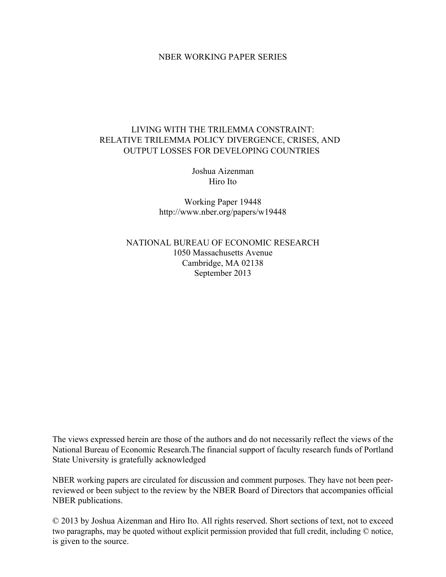## NBER WORKING PAPER SERIES

# LIVING WITH THE TRILEMMA CONSTRAINT: RELATIVE TRILEMMA POLICY DIVERGENCE, CRISES, AND OUTPUT LOSSES FOR DEVELOPING COUNTRIES

Joshua Aizenman Hiro Ito

Working Paper 19448 http://www.nber.org/papers/w19448

NATIONAL BUREAU OF ECONOMIC RESEARCH 1050 Massachusetts Avenue Cambridge, MA 02138 September 2013

The views expressed herein are those of the authors and do not necessarily reflect the views of the National Bureau of Economic Research.The financial support of faculty research funds of Portland State University is gratefully acknowledged

NBER working papers are circulated for discussion and comment purposes. They have not been peerreviewed or been subject to the review by the NBER Board of Directors that accompanies official NBER publications.

© 2013 by Joshua Aizenman and Hiro Ito. All rights reserved. Short sections of text, not to exceed two paragraphs, may be quoted without explicit permission provided that full credit, including © notice, is given to the source.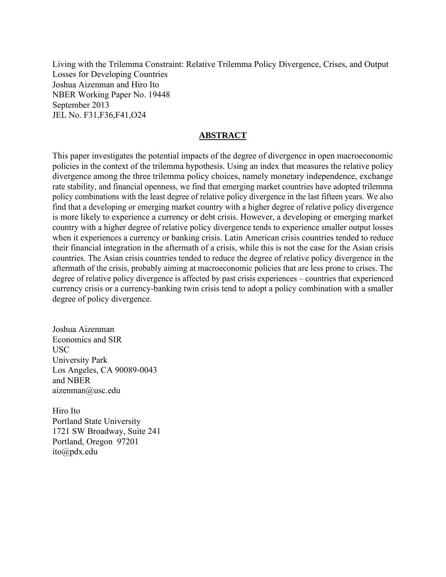Living with the Trilemma Constraint: Relative Trilemma Policy Divergence, Crises, and Output Losses for Developing Countries Joshua Aizenman and Hiro Ito NBER Working Paper No. 19448 September 2013 JEL No. F31,F36,F41,O24

## **ABSTRACT**

This paper investigates the potential impacts of the degree of divergence in open macroeconomic policies in the context of the trilemma hypothesis. Using an index that measures the relative policy divergence among the three trilemma policy choices, namely monetary independence, exchange rate stability, and financial openness, we find that emerging market countries have adopted trilemma policy combinations with the least degree of relative policy divergence in the last fifteen years. We also find that a developing or emerging market country with a higher degree of relative policy divergence is more likely to experience a currency or debt crisis. However, a developing or emerging market country with a higher degree of relative policy divergence tends to experience smaller output losses when it experiences a currency or banking crisis. Latin American crisis countries tended to reduce their financial integration in the aftermath of a crisis, while this is not the case for the Asian crisis countries. The Asian crisis countries tended to reduce the degree of relative policy divergence in the aftermath of the crisis, probably aiming at macroeconomic policies that are less prone to crises. The degree of relative policy divergence is affected by past crisis experiences – countries that experienced currency crisis or a currency-banking twin crisis tend to adopt a policy combination with a smaller degree of policy divergence.

Joshua Aizenman Economics and SIR USC University Park Los Angeles, CA 90089-0043 and NBER aizenman@usc.edu

Hiro Ito Portland State University 1721 SW Broadway, Suite 241 Portland, Oregon 97201 ito@pdx.edu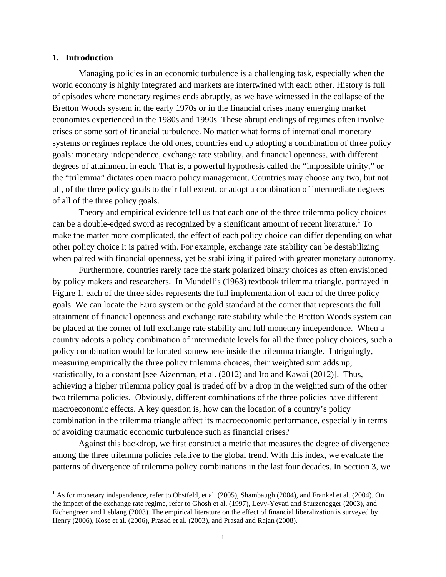## **1. Introduction**

Managing policies in an economic turbulence is a challenging task, especially when the world economy is highly integrated and markets are intertwined with each other. History is full of episodes where monetary regimes ends abruptly, as we have witnessed in the collapse of the Bretton Woods system in the early 1970s or in the financial crises many emerging market economies experienced in the 1980s and 1990s. These abrupt endings of regimes often involve crises or some sort of financial turbulence. No matter what forms of international monetary systems or regimes replace the old ones, countries end up adopting a combination of three policy goals: monetary independence, exchange rate stability, and financial openness, with different degrees of attainment in each. That is, a powerful hypothesis called the "impossible trinity," or the "trilemma" dictates open macro policy management. Countries may choose any two, but not all, of the three policy goals to their full extent, or adopt a combination of intermediate degrees of all of the three policy goals.

Theory and empirical evidence tell us that each one of the three trilemma policy choices can be a double-edged sword as recognized by a significant amount of recent literature.<sup>1</sup> To make the matter more complicated, the effect of each policy choice can differ depending on what other policy choice it is paired with. For example, exchange rate stability can be destabilizing when paired with financial openness, yet be stabilizing if paired with greater monetary autonomy.

Furthermore, countries rarely face the stark polarized binary choices as often envisioned by policy makers and researchers. In Mundell's (1963) textbook trilemma triangle, portrayed in Figure 1, each of the three sides represents the full implementation of each of the three policy goals. We can locate the Euro system or the gold standard at the corner that represents the full attainment of financial openness and exchange rate stability while the Bretton Woods system can be placed at the corner of full exchange rate stability and full monetary independence. When a country adopts a policy combination of intermediate levels for all the three policy choices, such a policy combination would be located somewhere inside the trilemma triangle. Intriguingly, measuring empirically the three policy trilemma choices, their weighted sum adds up, statistically, to a constant [see Aizenman, et al. (2012) and Ito and Kawai (2012)]. Thus, achieving a higher trilemma policy goal is traded off by a drop in the weighted sum of the other two trilemma policies. Obviously, different combinations of the three policies have different macroeconomic effects. A key question is, how can the location of a country's policy combination in the trilemma triangle affect its macroeconomic performance, especially in terms of avoiding traumatic economic turbulence such as financial crises?

Against this backdrop, we first construct a metric that measures the degree of divergence among the three trilemma policies relative to the global trend. With this index, we evaluate the patterns of divergence of trilemma policy combinations in the last four decades. In Section 3, we

<sup>&</sup>lt;sup>1</sup> As for monetary independence, refer to Obstfeld, et al. (2005), Shambaugh (2004), and Frankel et al. (2004). On the impact of the exchange rate regime, refer to Ghosh et al. (1997), Levy-Yeyati and Sturzenegger (2003), and Eichengreen and Leblang (2003). The empirical literature on the effect of financial liberalization is surveyed by Henry (2006), Kose et al. (2006), Prasad et al. (2003), and Prasad and Rajan (2008).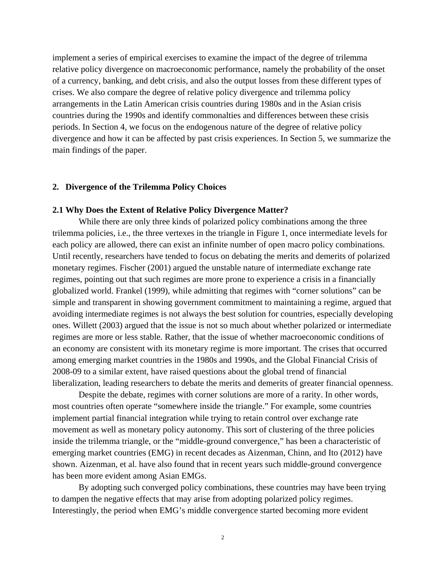implement a series of empirical exercises to examine the impact of the degree of trilemma relative policy divergence on macroeconomic performance, namely the probability of the onset of a currency, banking, and debt crisis, and also the output losses from these different types of crises. We also compare the degree of relative policy divergence and trilemma policy arrangements in the Latin American crisis countries during 1980s and in the Asian crisis countries during the 1990s and identify commonalties and differences between these crisis periods. In Section 4, we focus on the endogenous nature of the degree of relative policy divergence and how it can be affected by past crisis experiences. In Section 5, we summarize the main findings of the paper.

#### **2. Divergence of the Trilemma Policy Choices**

#### **2.1 Why Does the Extent of Relative Policy Divergence Matter?**

While there are only three kinds of polarized policy combinations among the three trilemma policies, i.e., the three vertexes in the triangle in Figure 1, once intermediate levels for each policy are allowed, there can exist an infinite number of open macro policy combinations. Until recently, researchers have tended to focus on debating the merits and demerits of polarized monetary regimes. Fischer (2001) argued the unstable nature of intermediate exchange rate regimes, pointing out that such regimes are more prone to experience a crisis in a financially globalized world. Frankel (1999), while admitting that regimes with "corner solutions" can be simple and transparent in showing government commitment to maintaining a regime, argued that avoiding intermediate regimes is not always the best solution for countries, especially developing ones. Willett (2003) argued that the issue is not so much about whether polarized or intermediate regimes are more or less stable. Rather, that the issue of whether macroeconomic conditions of an economy are consistent with its monetary regime is more important. The crises that occurred among emerging market countries in the 1980s and 1990s, and the Global Financial Crisis of 2008-09 to a similar extent, have raised questions about the global trend of financial liberalization, leading researchers to debate the merits and demerits of greater financial openness.

Despite the debate, regimes with corner solutions are more of a rarity. In other words, most countries often operate "somewhere inside the triangle." For example, some countries implement partial financial integration while trying to retain control over exchange rate movement as well as monetary policy autonomy. This sort of clustering of the three policies inside the trilemma triangle, or the "middle-ground convergence," has been a characteristic of emerging market countries (EMG) in recent decades as Aizenman, Chinn, and Ito (2012) have shown. Aizenman, et al. have also found that in recent years such middle-ground convergence has been more evident among Asian EMGs.

By adopting such converged policy combinations, these countries may have been trying to dampen the negative effects that may arise from adopting polarized policy regimes. Interestingly, the period when EMG's middle convergence started becoming more evident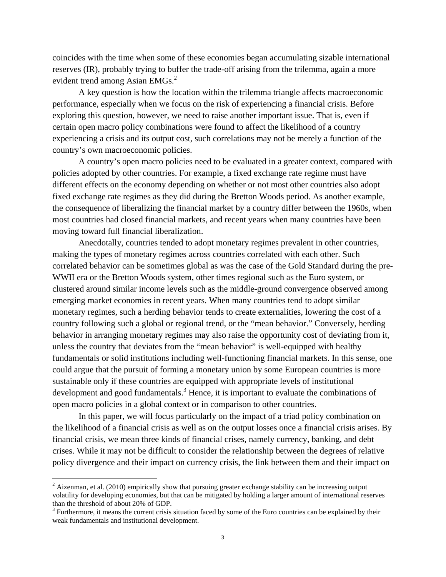coincides with the time when some of these economies began accumulating sizable international reserves (IR), probably trying to buffer the trade-off arising from the trilemma, again a more evident trend among Asian EMGs.<sup>2</sup>

A key question is how the location within the trilemma triangle affects macroeconomic performance, especially when we focus on the risk of experiencing a financial crisis. Before exploring this question, however, we need to raise another important issue. That is, even if certain open macro policy combinations were found to affect the likelihood of a country experiencing a crisis and its output cost, such correlations may not be merely a function of the country's own macroeconomic policies.

A country's open macro policies need to be evaluated in a greater context, compared with policies adopted by other countries. For example, a fixed exchange rate regime must have different effects on the economy depending on whether or not most other countries also adopt fixed exchange rate regimes as they did during the Bretton Woods period. As another example, the consequence of liberalizing the financial market by a country differ between the 1960s, when most countries had closed financial markets, and recent years when many countries have been moving toward full financial liberalization.

Anecdotally, countries tended to adopt monetary regimes prevalent in other countries, making the types of monetary regimes across countries correlated with each other. Such correlated behavior can be sometimes global as was the case of the Gold Standard during the pre-WWII era or the Bretton Woods system, other times regional such as the Euro system, or clustered around similar income levels such as the middle-ground convergence observed among emerging market economies in recent years. When many countries tend to adopt similar monetary regimes, such a herding behavior tends to create externalities, lowering the cost of a country following such a global or regional trend, or the "mean behavior." Conversely, herding behavior in arranging monetary regimes may also raise the opportunity cost of deviating from it, unless the country that deviates from the "mean behavior" is well-equipped with healthy fundamentals or solid institutions including well-functioning financial markets. In this sense, one could argue that the pursuit of forming a monetary union by some European countries is more sustainable only if these countries are equipped with appropriate levels of institutional development and good fundamentals.<sup>3</sup> Hence, it is important to evaluate the combinations of open macro policies in a global context or in comparison to other countries.

In this paper, we will focus particularly on the impact of a triad policy combination on the likelihood of a financial crisis as well as on the output losses once a financial crisis arises. By financial crisis, we mean three kinds of financial crises, namely currency, banking, and debt crises. While it may not be difficult to consider the relationship between the degrees of relative policy divergence and their impact on currency crisis, the link between them and their impact on

 $2$  Aizenman, et al. (2010) empirically show that pursuing greater exchange stability can be increasing output volatility for developing economies, but that can be mitigated by holding a larger amount of international reserves than the threshold of about 20% of GDP.

 $3$  Furthermore, it means the current crisis situation faced by some of the Euro countries can be explained by their weak fundamentals and institutional development.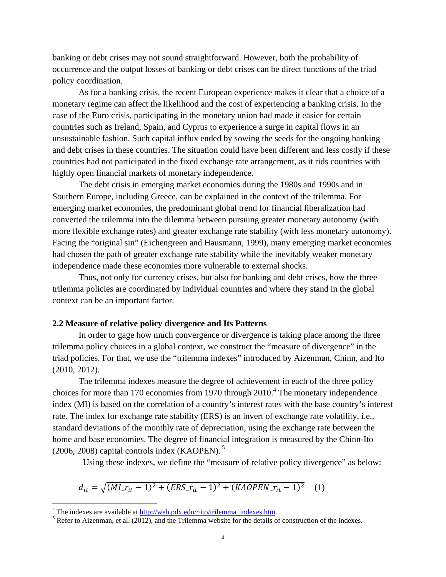banking or debt crises may not sound straightforward. However, both the probability of occurrence and the output losses of banking or debt crises can be direct functions of the triad policy coordination.

As for a banking crisis, the recent European experience makes it clear that a choice of a monetary regime can affect the likelihood and the cost of experiencing a banking crisis. In the case of the Euro crisis, participating in the monetary union had made it easier for certain countries such as Ireland, Spain, and Cyprus to experience a surge in capital flows in an unsustainable fashion. Such capital influx ended by sowing the seeds for the ongoing banking and debt crises in these countries. The situation could have been different and less costly if these countries had not participated in the fixed exchange rate arrangement, as it rids countries with highly open financial markets of monetary independence.

The debt crisis in emerging market economies during the 1980s and 1990s and in Southern Europe, including Greece, can be explained in the context of the trilemma. For emerging market economies, the predominant global trend for financial liberalization had converted the trilemma into the dilemma between pursuing greater monetary autonomy (with more flexible exchange rates) and greater exchange rate stability (with less monetary autonomy). Facing the "original sin" (Eichengreen and Hausmann, 1999), many emerging market economies had chosen the path of greater exchange rate stability while the inevitably weaker monetary independence made these economies more vulnerable to external shocks.

Thus, not only for currency crises, but also for banking and debt crises, how the three trilemma policies are coordinated by individual countries and where they stand in the global context can be an important factor.

#### **2.2 Measure of relative policy divergence and Its Patterns**

In order to gage how much convergence or divergence is taking place among the three trilemma policy choices in a global context, we construct the "measure of divergence" in the triad policies. For that, we use the "trilemma indexes" introduced by Aizenman, Chinn, and Ito (2010, 2012).

The trilemma indexes measure the degree of achievement in each of the three policy choices for more than 170 economies from 1970 through  $2010<sup>4</sup>$  The monetary independence index (MI) is based on the correlation of a country's interest rates with the base country's interest rate. The index for exchange rate stability (ERS) is an invert of exchange rate volatility, i.e., standard deviations of the monthly rate of depreciation, using the exchange rate between the home and base economies. The degree of financial integration is measured by the Chinn-Ito  $(2006, 2008)$  capital controls index (KAOPEN).<sup>5</sup>

Using these indexes, we define the "measure of relative policy divergence" as below:

$$
d_{it} = \sqrt{(M L r_{it} - 1)^2 + (ERS_{it} - 1)^2 + (KAOPEN_{it} - 1)^2} \tag{1}
$$

<sup>&</sup>lt;sup>4</sup> The indexes are available at  $\frac{http://web.pdf.x.edu/~ito/trilemma_indexes.htm}{http://web.pdf.x.edu/~ito/trilemma_indexes.htm}$ 

 $<sup>5</sup>$  Refer to Aizenman, et al. (2012), and the Trilemma website for the details of construction of the indexes.</sup>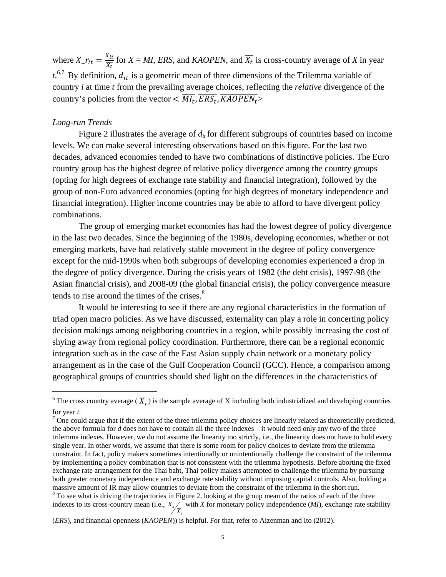where  $X_{\text{-}} r_{it} = \frac{X_{it}}{X_t}$  for  $X = MI$ , *ERS*, and *KAOPEN*, and  $\overline{X_t}$  is cross-country average of *X* in year  $t^{6,7}$  By definition,  $d_{it}$  is a geometric mean of three dimensions of the Trilemma variable of country *i* at time *t* from the prevailing average choices, reflecting the *relative* divergence of the country's policies from the vector  $\langle \overline{M I_t}, \overline{ERS_t}, \overline{KAOPEN_t} \rangle$ 

## *Long-run Trends*

Figure 2 illustrates the average of  $d_{it}$  for different subgroups of countries based on income levels. We can make several interesting observations based on this figure. For the last two decades, advanced economies tended to have two combinations of distinctive policies. The Euro country group has the highest degree of relative policy divergence among the country groups (opting for high degrees of exchange rate stability and financial integration), followed by the group of non-Euro advanced economies (opting for high degrees of monetary independence and financial integration). Higher income countries may be able to afford to have divergent policy combinations.

The group of emerging market economies has had the lowest degree of policy divergence in the last two decades. Since the beginning of the 1980s, developing economies, whether or not emerging markets, have had relatively stable movement in the degree of policy convergence except for the mid-1990s when both subgroups of developing economies experienced a drop in the degree of policy divergence. During the crisis years of 1982 (the debt crisis), 1997-98 (the Asian financial crisis), and 2008-09 (the global financial crisis), the policy convergence measure tends to rise around the times of the crises. $8<sup>8</sup>$ 

It would be interesting to see if there are any regional characteristics in the formation of triad open macro policies. As we have discussed, externality can play a role in concerting policy decision makings among neighboring countries in a region, while possibly increasing the cost of shying away from regional policy coordination. Furthermore, there can be a regional economic integration such as in the case of the East Asian supply chain network or a monetary policy arrangement as in the case of the Gulf Cooperation Council (GCC). Hence, a comparison among geographical groups of countries should shed light on the differences in the characteristics of

*t*

<sup>&</sup>lt;sup>6</sup> The cross country average ( $\overline{X}_t$ ) is the sample average of X including both industrialized and developing countries for year *t*.

 $\sigma$  One could argue that if the extent of the three trilemma policy choices are linearly related as theoretically predicted, the above formula for *d* does not have to contain all the three indexes – it would need only any two of the three trilemma indexes. However, we do not assume the linearity too strictly, i.e., the linearity does not have to hold every single year. In other words, we assume that there is some room for policy choices to deviate from the trilemma constraint. In fact, policy makers sometimes intentionally or unintentionally challenge the constraint of the trilemma by implementing a policy combination that is not consistent with the trilemma hypothesis. Before aborting the fixed exchange rate arrangement for the Thai baht, Thai policy makers attempted to challenge the trilemma by pursuing both greater monetary independence and exchange rate stability without imposing capital controls. Also, holding a massive amount of IR may allow countries to deviate from the constraint of the trilemma in the short run.  $8$  To see what is driving the trajectories in Figure 2, looking at the group mean of the ratios of each of the three indexes to its cross-country mean (i.e., *it X*  $X_{i}/$  with *X* for monetary policy independence (*MI*), exchange rate stability

<sup>(</sup>*ERS*), and financial openness (*KAOPEN*)) is helpful. For that, refer to Aizenman and Ito (2012).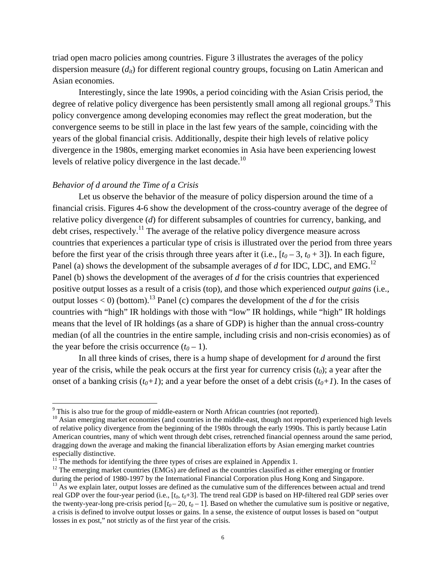triad open macro policies among countries. Figure 3 illustrates the averages of the policy dispersion measure  $(d_{ii})$  for different regional country groups, focusing on Latin American and Asian economies.

Interestingly, since the late 1990s, a period coinciding with the Asian Crisis period, the degree of relative policy divergence has been persistently small among all regional groups.<sup>9</sup> This policy convergence among developing economies may reflect the great moderation, but the convergence seems to be still in place in the last few years of the sample, coinciding with the years of the global financial crisis. Additionally, despite their high levels of relative policy divergence in the 1980s, emerging market economies in Asia have been experiencing lowest levels of relative policy divergence in the last decade.<sup>10</sup>

## *Behavior of d around the Time of a Crisis*

Let us observe the behavior of the measure of policy dispersion around the time of a financial crisis. Figures 4-6 show the development of the cross-country average of the degree of relative policy divergence (*d*) for different subsamples of countries for currency, banking, and debt crises, respectively.<sup>11</sup> The average of the relative policy divergence measure across countries that experiences a particular type of crisis is illustrated over the period from three years before the first year of the crisis through three years after it (i.e.,  $[t_0 - 3, t_0 + 3]$ ). In each figure, Panel (a) shows the development of the subsample averages of *d* for IDC, LDC, and EMG.<sup>12</sup> Panel (b) shows the development of the averages of *d* for the crisis countries that experienced positive output losses as a result of a crisis (top), and those which experienced *output gains* (i.e., output losses  $<$  0) (bottom).<sup>13</sup> Panel (c) compares the development of the *d* for the crisis countries with "high" IR holdings with those with "low" IR holdings, while "high" IR holdings means that the level of IR holdings (as a share of GDP) is higher than the annual cross-country median (of all the countries in the entire sample, including crisis and non-crisis economies) as of the year before the crisis occurrence  $(t_0 - 1)$ .

In all three kinds of crises, there is a hump shape of development for *d* around the first year of the crisis, while the peak occurs at the first year for currency crisis  $(t_0)$ ; a year after the onset of a banking crisis  $(t_0+1)$ ; and a year before the onset of a debt crisis  $(t_0+1)$ . In the cases of

 $9$  This is also true for the group of middle-eastern or North African countries (not reported).

<sup>&</sup>lt;sup>10</sup> Asian emerging market economies (and countries in the middle-east, though not reported) experienced high levels of relative policy divergence from the beginning of the 1980s through the early 1990s. This is partly because Latin American countries, many of which went through debt crises, retrenched financial openness around the same period, dragging down the average and making the financial liberalization efforts by Asian emerging market countries especially distinctive.

 $11$ <sup>11</sup>. The methods for identifying the three types of crises are explained in Appendix 1.

<sup>&</sup>lt;sup>12</sup> The emerging market countries (EMGs) are defined as the countries classified as either emerging or frontier during the period of 1980-1997 by the International Financial Corporation plus Hong Kong and Singapore.

<sup>&</sup>lt;sup>13</sup> As we explain later, output losses are defined as the cumulative sum of the differences between actual and trend real GDP over the four-year period (i.e.,  $[t_0, t_0+3]$ . The trend real GDP is based on HP-filtered real GDP series over the twenty-year-long pre-crisis period  $[t_0 - 20, t_0 - 1]$ . Based on whether the cumulative sum is positive or negative, a crisis is defined to involve output losses or gains. In a sense, the existence of output losses is based on "output losses in ex post," not strictly as of the first year of the crisis.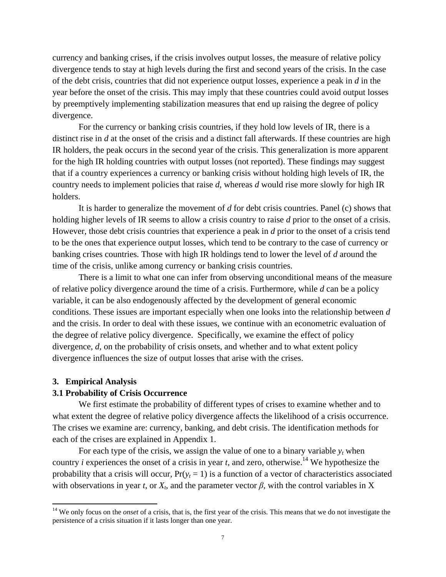currency and banking crises, if the crisis involves output losses, the measure of relative policy divergence tends to stay at high levels during the first and second years of the crisis. In the case of the debt crisis, countries that did not experience output losses, experience a peak in *d* in the year before the onset of the crisis. This may imply that these countries could avoid output losses by preemptively implementing stabilization measures that end up raising the degree of policy divergence.

For the currency or banking crisis countries, if they hold low levels of IR, there is a distinct rise in *d* at the onset of the crisis and a distinct fall afterwards. If these countries are high IR holders, the peak occurs in the second year of the crisis. This generalization is more apparent for the high IR holding countries with output losses (not reported). These findings may suggest that if a country experiences a currency or banking crisis without holding high levels of IR, the country needs to implement policies that raise *d*, whereas *d* would rise more slowly for high IR holders.

It is harder to generalize the movement of *d* for debt crisis countries. Panel (c) shows that holding higher levels of IR seems to allow a crisis country to raise *d* prior to the onset of a crisis. However, those debt crisis countries that experience a peak in *d* prior to the onset of a crisis tend to be the ones that experience output losses, which tend to be contrary to the case of currency or banking crises countries. Those with high IR holdings tend to lower the level of *d* around the time of the crisis, unlike among currency or banking crisis countries.

There is a limit to what one can infer from observing unconditional means of the measure of relative policy divergence around the time of a crisis. Furthermore, while *d* can be a policy variable, it can be also endogenously affected by the development of general economic conditions. These issues are important especially when one looks into the relationship between *d* and the crisis. In order to deal with these issues, we continue with an econometric evaluation of the degree of relative policy divergence. Specifically, we examine the effect of policy divergence, *d*, on the probability of crisis onsets, and whether and to what extent policy divergence influences the size of output losses that arise with the crises.

## **3. Empirical Analysis**

## **3.1 Probability of Crisis Occurrence**

We first estimate the probability of different types of crises to examine whether and to what extent the degree of relative policy divergence affects the likelihood of a crisis occurrence. The crises we examine are: currency, banking, and debt crisis. The identification methods for each of the crises are explained in Appendix 1.

For each type of the crisis, we assign the value of one to a binary variable  $y_t$  when country *i* experiences the onset of a crisis in year *t*, and zero, otherwise.<sup>14</sup> We hypothesize the probability that a crisis will occur,  $Pr(y_t = 1)$  is a function of a vector of characteristics associated with observations in year *t*, or  $X_t$ , and the parameter vector  $\beta$ , with the control variables in X

<sup>&</sup>lt;sup>14</sup> We only focus on the *onset* of a crisis, that is, the first year of the crisis. This means that we do not investigate the persistence of a crisis situation if it lasts longer than one year.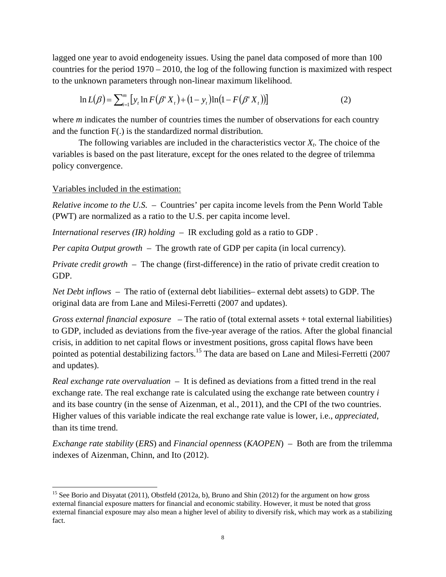lagged one year to avoid endogeneity issues. Using the panel data composed of more than 100 countries for the period 1970 – 2010, the log of the following function is maximized with respect to the unknown parameters through non-linear maximum likelihood.

$$
\ln L(\beta) = \sum_{i=1}^{m} [y_i \ln F(\beta' X_t) + (1 - y_i) \ln(1 - F(\beta' X_t))]
$$
\n(2)

where *m* indicates the number of countries times the number of observations for each country and the function F(.) is the standardized normal distribution.

The following variables are included in the characteristics vector  $X_t$ . The choice of the variables is based on the past literature, except for the ones related to the degree of trilemma policy convergence.

## Variables included in the estimation:

*Relative income to the U.S.* – Countries' per capita income levels from the Penn World Table (PWT) are normalized as a ratio to the U.S. per capita income level.

*International reserves (IR) holding* – IR excluding gold as a ratio to GDP .

*Per capita Output growth* – The growth rate of GDP per capita (in local currency).

*Private credit growth* – The change (first-difference) in the ratio of private credit creation to GDP.

*Net Debt inflows* – The ratio of (external debt liabilities– external debt assets) to GDP. The original data are from Lane and Milesi-Ferretti (2007 and updates).

*Gross external financial exposure* – The ratio of (total external assets + total external liabilities) to GDP, included as deviations from the five-year average of the ratios. After the global financial crisis, in addition to net capital flows or investment positions, gross capital flows have been pointed as potential destabilizing factors.<sup>15</sup> The data are based on Lane and Milesi-Ferretti (2007) and updates).

*Real exchange rate overvaluation* – It is defined as deviations from a fitted trend in the real exchange rate. The real exchange rate is calculated using the exchange rate between country *i* and its base country (in the sense of Aizenman, et al., 2011), and the CPI of the two countries. Higher values of this variable indicate the real exchange rate value is lower, i.e., *appreciated*, than its time trend.

*Exchange rate stability* (*ERS*) and *Financial openness* (*KAOPEN*) – Both are from the trilemma indexes of Aizenman, Chinn, and Ito (2012).

<sup>&</sup>lt;sup>15</sup> See Borio and Disyatat (2011), Obstfeld (2012a, b), Bruno and Shin (2012) for the argument on how gross external financial exposure matters for financial and economic stability. However, it must be noted that gross external financial exposure may also mean a higher level of ability to diversify risk, which may work as a stabilizing fact.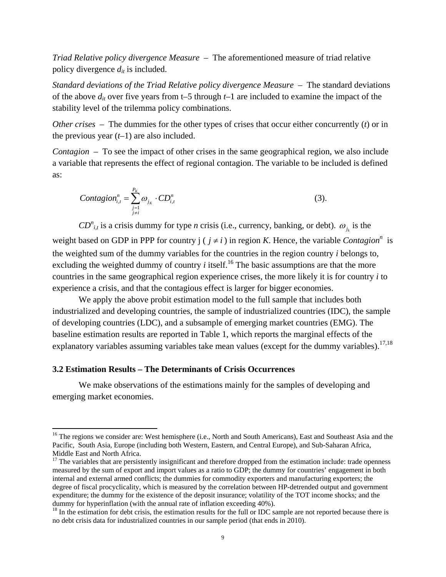*Triad Relative policy divergence Measure* – The aforementioned measure of triad relative policy divergence  $d_{it}$  is included.

*Standard deviations of the Triad Relative policy divergence Measure* – The standard deviations of the above  $d_{it}$  over five years from t–5 through  $t-1$  are included to examine the impact of the stability level of the trilemma policy combinations.

*Other crises* – The dummies for the other types of crises that occur either concurrently (*t*) or in the previous year (*t*–1) are also included.

*Contagion* – To see the impact of other crises in the same geographical region, we also include a variable that represents the effect of regional contagion. The variable to be included is defined as:

$$
Contagion_{i,t}^{n} = \sum_{\substack{j=1 \ j \neq i}}^{P_K} \omega_{j_K} \cdot CD_{i,t}^{n}
$$
 (3).

 $CD^{n}$ <sub>*i,t*</sub> is a crisis dummy for type *n* crisis (i.e., currency, banking, or debt).  $\omega_{j_{k}}$  is the weight based on GDP in PPP for country  $j$  ( $j \neq i$ ) in region *K*. Hence, the variable *Contagion*<sup>n</sup> is the weighted sum of the dummy variables for the countries in the region country *i* belongs to, excluding the weighted dummy of country  $i$  itself.<sup>16</sup> The basic assumptions are that the more countries in the same geographical region experience crises, the more likely it is for country *i* to experience a crisis, and that the contagious effect is larger for bigger economies.

We apply the above probit estimation model to the full sample that includes both industrialized and developing countries, the sample of industrialized countries (IDC), the sample of developing countries (LDC), and a subsample of emerging market countries (EMG). The baseline estimation results are reported in Table 1, which reports the marginal effects of the explanatory variables assuming variables take mean values (except for the dummy variables).<sup>17,18</sup>

## **3.2 Estimation Results – The Determinants of Crisis Occurrences**

We make observations of the estimations mainly for the samples of developing and emerging market economies.

<sup>&</sup>lt;sup>16</sup> The regions we consider are: West hemisphere (i.e., North and South Americans), East and Southeast Asia and the Pacific, South Asia, Europe (including both Western, Eastern, and Central Europe), and Sub-Saharan Africa, Middle East and North Africa.

 $17$  The variables that are persistently insignificant and therefore dropped from the estimation include: trade openness measured by the sum of export and import values as a ratio to GDP; the dummy for countries' engagement in both internal and external armed conflicts; the dummies for commodity exporters and manufacturing exporters; the degree of fiscal procyclicality, which is measured by the correlation between HP-detrended output and government expenditure; the dummy for the existence of the deposit insurance; volatility of the TOT income shocks*;* and the

 $^{18}$  In the estimation for debt crisis, the estimation results for the full or IDC sample are not reported because there is no debt crisis data for industrialized countries in our sample period (that ends in 2010).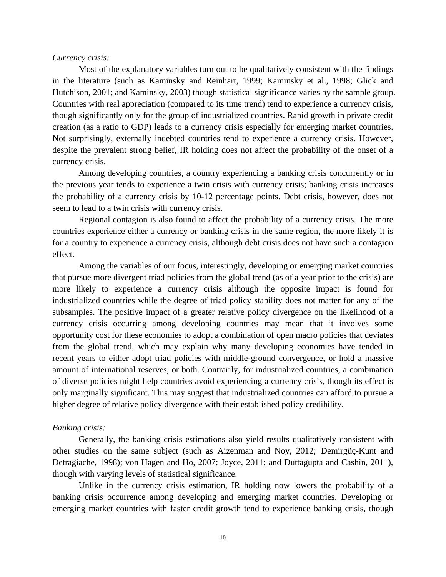## *Currency crisis:*

Most of the explanatory variables turn out to be qualitatively consistent with the findings in the literature (such as Kaminsky and Reinhart, 1999; Kaminsky et al., 1998; Glick and Hutchison, 2001; and Kaminsky, 2003) though statistical significance varies by the sample group. Countries with real appreciation (compared to its time trend) tend to experience a currency crisis, though significantly only for the group of industrialized countries. Rapid growth in private credit creation (as a ratio to GDP) leads to a currency crisis especially for emerging market countries. Not surprisingly, externally indebted countries tend to experience a currency crisis. However, despite the prevalent strong belief, IR holding does not affect the probability of the onset of a currency crisis.

Among developing countries, a country experiencing a banking crisis concurrently or in the previous year tends to experience a twin crisis with currency crisis; banking crisis increases the probability of a currency crisis by 10-12 percentage points. Debt crisis, however, does not seem to lead to a twin crisis with currency crisis.

Regional contagion is also found to affect the probability of a currency crisis. The more countries experience either a currency or banking crisis in the same region, the more likely it is for a country to experience a currency crisis, although debt crisis does not have such a contagion effect.

Among the variables of our focus, interestingly, developing or emerging market countries that pursue more divergent triad policies from the global trend (as of a year prior to the crisis) are more likely to experience a currency crisis although the opposite impact is found for industrialized countries while the degree of triad policy stability does not matter for any of the subsamples. The positive impact of a greater relative policy divergence on the likelihood of a currency crisis occurring among developing countries may mean that it involves some opportunity cost for these economies to adopt a combination of open macro policies that deviates from the global trend, which may explain why many developing economies have tended in recent years to either adopt triad policies with middle-ground convergence, or hold a massive amount of international reserves, or both. Contrarily, for industrialized countries, a combination of diverse policies might help countries avoid experiencing a currency crisis, though its effect is only marginally significant. This may suggest that industrialized countries can afford to pursue a higher degree of relative policy divergence with their established policy credibility.

#### *Banking crisis:*

Generally, the banking crisis estimations also yield results qualitatively consistent with other studies on the same subject (such as Aizenman and Noy, 2012; Demirgüç-Kunt and Detragiache, 1998); von Hagen and Ho, 2007; Joyce, 2011; and Duttagupta and Cashin, 2011), though with varying levels of statistical significance.

Unlike in the currency crisis estimation, IR holding now lowers the probability of a banking crisis occurrence among developing and emerging market countries. Developing or emerging market countries with faster credit growth tend to experience banking crisis, though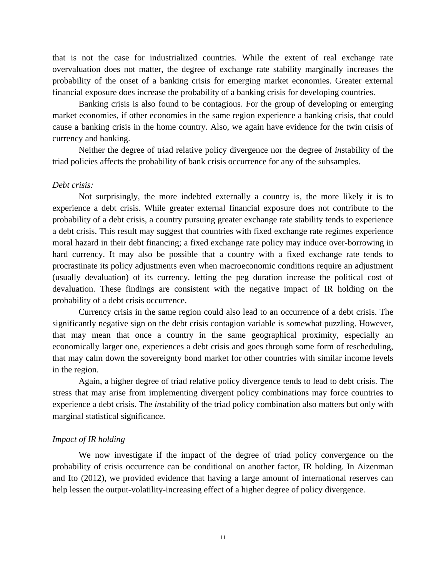that is not the case for industrialized countries. While the extent of real exchange rate overvaluation does not matter, the degree of exchange rate stability marginally increases the probability of the onset of a banking crisis for emerging market economies. Greater external financial exposure does increase the probability of a banking crisis for developing countries.

Banking crisis is also found to be contagious. For the group of developing or emerging market economies, if other economies in the same region experience a banking crisis, that could cause a banking crisis in the home country. Also, we again have evidence for the twin crisis of currency and banking.

Neither the degree of triad relative policy divergence nor the degree of *in*stability of the triad policies affects the probability of bank crisis occurrence for any of the subsamples.

#### *Debt crisis:*

Not surprisingly, the more indebted externally a country is, the more likely it is to experience a debt crisis. While greater external financial exposure does not contribute to the probability of a debt crisis, a country pursuing greater exchange rate stability tends to experience a debt crisis. This result may suggest that countries with fixed exchange rate regimes experience moral hazard in their debt financing; a fixed exchange rate policy may induce over-borrowing in hard currency. It may also be possible that a country with a fixed exchange rate tends to procrastinate its policy adjustments even when macroeconomic conditions require an adjustment (usually devaluation) of its currency, letting the peg duration increase the political cost of devaluation. These findings are consistent with the negative impact of IR holding on the probability of a debt crisis occurrence.

Currency crisis in the same region could also lead to an occurrence of a debt crisis. The significantly negative sign on the debt crisis contagion variable is somewhat puzzling. However, that may mean that once a country in the same geographical proximity, especially an economically larger one, experiences a debt crisis and goes through some form of rescheduling, that may calm down the sovereignty bond market for other countries with similar income levels in the region.

Again, a higher degree of triad relative policy divergence tends to lead to debt crisis. The stress that may arise from implementing divergent policy combinations may force countries to experience a debt crisis. The *in*stability of the triad policy combination also matters but only with marginal statistical significance.

## *Impact of IR holding*

We now investigate if the impact of the degree of triad policy convergence on the probability of crisis occurrence can be conditional on another factor, IR holding. In Aizenman and Ito (2012), we provided evidence that having a large amount of international reserves can help lessen the output-volatility-increasing effect of a higher degree of policy divergence.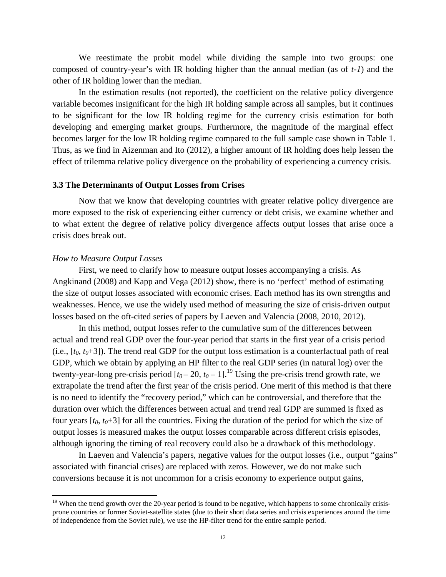We reestimate the probit model while dividing the sample into two groups: one composed of country-year's with IR holding higher than the annual median (as of *t-1*) and the other of IR holding lower than the median.

In the estimation results (not reported), the coefficient on the relative policy divergence variable becomes insignificant for the high IR holding sample across all samples, but it continues to be significant for the low IR holding regime for the currency crisis estimation for both developing and emerging market groups. Furthermore, the magnitude of the marginal effect becomes larger for the low IR holding regime compared to the full sample case shown in Table 1. Thus, as we find in Aizenman and Ito (2012), a higher amount of IR holding does help lessen the effect of trilemma relative policy divergence on the probability of experiencing a currency crisis.

#### **3.3 The Determinants of Output Losses from Crises**

Now that we know that developing countries with greater relative policy divergence are more exposed to the risk of experiencing either currency or debt crisis, we examine whether and to what extent the degree of relative policy divergence affects output losses that arise once a crisis does break out.

#### *How to Measure Output Losses*

First, we need to clarify how to measure output losses accompanying a crisis. As Angkinand (2008) and Kapp and Vega (2012) show, there is no 'perfect' method of estimating the size of output losses associated with economic crises. Each method has its own strengths and weaknesses. Hence, we use the widely used method of measuring the size of crisis-driven output losses based on the oft-cited series of papers by Laeven and Valencia (2008, 2010, 2012).

In this method, output losses refer to the cumulative sum of the differences between actual and trend real GDP over the four-year period that starts in the first year of a crisis period  $(i.e., [t<sub>0</sub>, t<sub>0</sub>+3])$ . The trend real GDP for the output loss estimation is a counterfactual path of real GDP, which we obtain by applying an HP filter to the real GDP series (in natural log) over the twenty-year-long pre-crisis period  $[t_0 - 20, t_0 - 1]$ .<sup>19</sup> Using the pre-crisis trend growth rate, we extrapolate the trend after the first year of the crisis period. One merit of this method is that there is no need to identify the "recovery period," which can be controversial, and therefore that the duration over which the differences between actual and trend real GDP are summed is fixed as four years  $[t_0, t_0+3]$  for all the countries. Fixing the duration of the period for which the size of output losses is measured makes the output losses comparable across different crisis episodes, although ignoring the timing of real recovery could also be a drawback of this methodology.

In Laeven and Valencia's papers, negative values for the output losses (i.e., output "gains" associated with financial crises) are replaced with zeros. However, we do not make such conversions because it is not uncommon for a crisis economy to experience output gains,

 $19$  When the trend growth over the 20-year period is found to be negative, which happens to some chronically crisisprone countries or former Soviet-satellite states (due to their short data series and crisis experiences around the time of independence from the Soviet rule), we use the HP-filter trend for the entire sample period.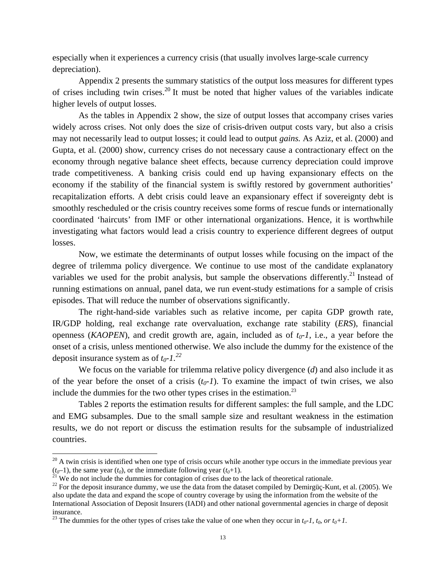especially when it experiences a currency crisis (that usually involves large-scale currency depreciation).

Appendix 2 presents the summary statistics of the output loss measures for different types of crises including twin crises.<sup>20</sup> It must be noted that higher values of the variables indicate higher levels of output losses.

As the tables in Appendix 2 show, the size of output losses that accompany crises varies widely across crises. Not only does the size of crisis-driven output costs vary, but also a crisis may not necessarily lead to output losses; it could lead to output *gains.* As Aziz, et al. (2000) and Gupta, et al. (2000) show, currency crises do not necessary cause a contractionary effect on the economy through negative balance sheet effects, because currency depreciation could improve trade competitiveness. A banking crisis could end up having expansionary effects on the economy if the stability of the financial system is swiftly restored by government authorities' recapitalization efforts. A debt crisis could leave an expansionary effect if sovereignty debt is smoothly rescheduled or the crisis country receives some forms of rescue funds or internationally coordinated 'haircuts' from IMF or other international organizations. Hence, it is worthwhile investigating what factors would lead a crisis country to experience different degrees of output losses.

Now, we estimate the determinants of output losses while focusing on the impact of the degree of trilemma policy divergence. We continue to use most of the candidate explanatory variables we used for the probit analysis, but sample the observations differently.<sup>21</sup> Instead of running estimations on annual, panel data, we run event-study estimations for a sample of crisis episodes. That will reduce the number of observations significantly.

The right-hand-side variables such as relative income, per capita GDP growth rate, IR/GDP holding, real exchange rate overvaluation, exchange rate stability (*ERS*), financial openness (*KAOPEN*), and credit growth are, again, included as of *t0-1*, i.e., a year before the onset of a crisis, unless mentioned otherwise. We also include the dummy for the existence of the deposit insurance system as of  $t_0$ -1.<sup>22</sup>

We focus on the variable for trilemma relative policy divergence (*d*) and also include it as of the year before the onset of a crisis  $(t_0 - I)$ . To examine the impact of twin crises, we also include the dummies for the two other types crises in the estimation. $^{23}$ 

Tables 2 reports the estimation results for different samples: the full sample, and the LDC and EMG subsamples. Due to the small sample size and resultant weakness in the estimation results, we do not report or discuss the estimation results for the subsample of industrialized countries.

 $20$  A twin crisis is identified when one type of crisis occurs while another type occurs in the immediate previous year  $(t_0-1)$ , the same year  $(t_0)$ , or the immediate following year  $(t_0+1)$ .<br><sup>21</sup> We do not include the dummies for contagion of crises due to the lack of theoretical rationale.<br><sup>22</sup> For the deposit insurance dummy, we use t

also update the data and expand the scope of country coverage by using the information from the website of the International Association of Deposit Insurers (IADI) and other national governmental agencies in charge of deposit insurance.

<sup>&</sup>lt;sup>23</sup> The dummies for the other types of crises take the value of one when they occur in  $t_0$ -1,  $t_0$ , or  $t_0+1$ .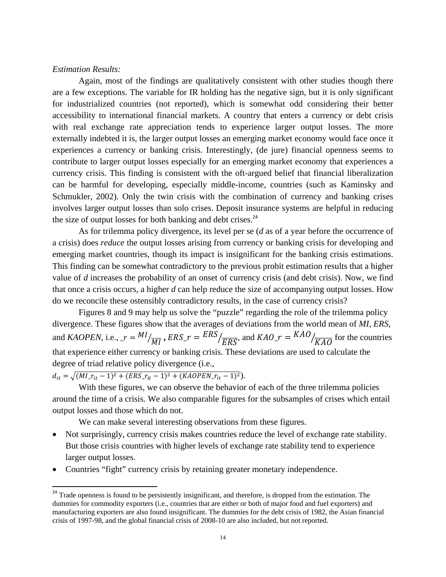## *Estimation Results:*

Again, most of the findings are qualitatively consistent with other studies though there are a few exceptions. The variable for IR holding has the negative sign, but it is only significant for industrialized countries (not reported), which is somewhat odd considering their better accessibility to international financial markets. A country that enters a currency or debt crisis with real exchange rate appreciation tends to experience larger output losses. The more externally indebted it is, the larger output losses an emerging market economy would face once it experiences a currency or banking crisis. Interestingly, (de jure) financial openness seems to contribute to larger output losses especially for an emerging market economy that experiences a currency crisis. This finding is consistent with the oft-argued belief that financial liberalization can be harmful for developing, especially middle-income, countries (such as Kaminsky and Schmukler, 2002). Only the twin crisis with the combination of currency and banking crises involves larger output losses than solo crises. Deposit insurance systems are helpful in reducing the size of output losses for both banking and debt crises.<sup>24</sup>

 As for trilemma policy divergence, its level per se (*d* as of a year before the occurrence of a crisis) does *reduce* the output losses arising from currency or banking crisis for developing and emerging market countries, though its impact is insignificant for the banking crisis estimations. This finding can be somewhat contradictory to the previous probit estimation results that a higher value of *d* increases the probability of an onset of currency crisis (and debt crisis). Now, we find that once a crisis occurs, a higher *d* can help reduce the size of accompanying output losses. How do we reconcile these ostensibly contradictory results, in the case of currency crisis?

Figures 8 and 9 may help us solve the "puzzle" regarding the role of the trilemma policy divergence. These figures show that the averages of deviations from the world mean of *MI*, *ERS*, and *KAOPEN*, i.e.,  $r = Ml/\sqrt{MI}$ ,  $ERS_r = ERS$  $\sqrt{\frac{FRS}{ERS}}$ , and  $KAO_r = KAO/\sqrt{KAO}}$  for the countries that experience either currency or banking crisis. These deviations are used to calculate the degree of triad relative policy divergence (i.e.,

 $d_{it} = \sqrt{(M I_{\cdot} r_{it} - 1)^2 + (ERS_{\cdot} r_{it} - 1)^2 + (KAOPEN_{\cdot} r_{it} - 1)^2}).$ 

With these figures, we can observe the behavior of each of the three trilemma policies around the time of a crisis. We also comparable figures for the subsamples of crises which entail output losses and those which do not.

We can make several interesting observations from these figures.

- Not surprisingly, currency crisis makes countries reduce the level of exchange rate stability. But those crisis countries with higher levels of exchange rate stability tend to experience larger output losses.
- Countries "fight" currency crisis by retaining greater monetary independence.

<sup>&</sup>lt;sup>24</sup> Trade openness is found to be persistently insignificant, and therefore, is dropped from the estimation. The dummies for commodity exporters (i.e., countries that are either or both of major food and fuel exporters) and manufacturing exporters are also found insignificant. The dummies for the debt crisis of 1982, the Asian financial crisis of 1997-98, and the global financial crisis of 2008-10 are also included, but not reported.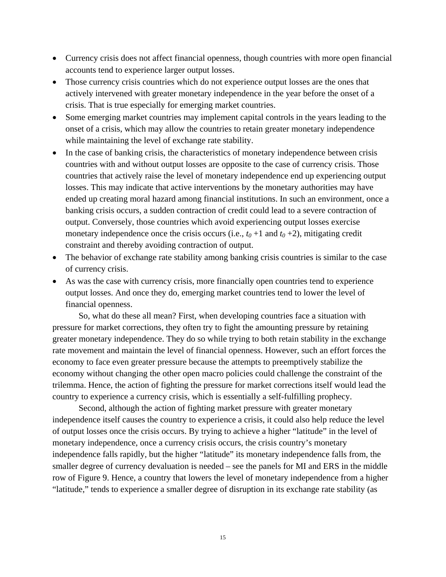- Currency crisis does not affect financial openness, though countries with more open financial accounts tend to experience larger output losses.
- Those currency crisis countries which do not experience output losses are the ones that actively intervened with greater monetary independence in the year before the onset of a crisis. That is true especially for emerging market countries.
- Some emerging market countries may implement capital controls in the years leading to the onset of a crisis, which may allow the countries to retain greater monetary independence while maintaining the level of exchange rate stability.
- In the case of banking crisis, the characteristics of monetary independence between crisis countries with and without output losses are opposite to the case of currency crisis. Those countries that actively raise the level of monetary independence end up experiencing output losses. This may indicate that active interventions by the monetary authorities may have ended up creating moral hazard among financial institutions. In such an environment, once a banking crisis occurs, a sudden contraction of credit could lead to a severe contraction of output. Conversely, those countries which avoid experiencing output losses exercise monetary independence once the crisis occurs (i.e.,  $t_0 + 1$  and  $t_0 + 2$ ), mitigating credit constraint and thereby avoiding contraction of output.
- The behavior of exchange rate stability among banking crisis countries is similar to the case of currency crisis.
- As was the case with currency crisis, more financially open countries tend to experience output losses. And once they do, emerging market countries tend to lower the level of financial openness.

So, what do these all mean? First, when developing countries face a situation with pressure for market corrections, they often try to fight the amounting pressure by retaining greater monetary independence. They do so while trying to both retain stability in the exchange rate movement and maintain the level of financial openness. However, such an effort forces the economy to face even greater pressure because the attempts to preemptively stabilize the economy without changing the other open macro policies could challenge the constraint of the trilemma. Hence, the action of fighting the pressure for market corrections itself would lead the country to experience a currency crisis, which is essentially a self-fulfilling prophecy.

Second, although the action of fighting market pressure with greater monetary independence itself causes the country to experience a crisis, it could also help reduce the level of output losses once the crisis occurs. By trying to achieve a higher "latitude" in the level of monetary independence, once a currency crisis occurs, the crisis country's monetary independence falls rapidly, but the higher "latitude" its monetary independence falls from, the smaller degree of currency devaluation is needed – see the panels for MI and ERS in the middle row of Figure 9. Hence, a country that lowers the level of monetary independence from a higher "latitude," tends to experience a smaller degree of disruption in its exchange rate stability (as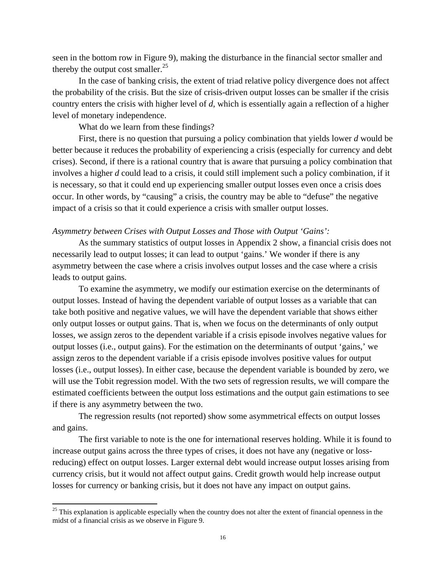seen in the bottom row in Figure 9), making the disturbance in the financial sector smaller and thereby the output cost smaller. $^{25}$ 

 In the case of banking crisis, the extent of triad relative policy divergence does not affect the probability of the crisis. But the size of crisis-driven output losses can be smaller if the crisis country enters the crisis with higher level of *d*, which is essentially again a reflection of a higher level of monetary independence.

What do we learn from these findings?

 First, there is no question that pursuing a policy combination that yields lower *d* would be better because it reduces the probability of experiencing a crisis (especially for currency and debt crises). Second, if there is a rational country that is aware that pursuing a policy combination that involves a higher *d* could lead to a crisis, it could still implement such a policy combination, if it is necessary, so that it could end up experiencing smaller output losses even once a crisis does occur. In other words, by "causing" a crisis, the country may be able to "defuse" the negative impact of a crisis so that it could experience a crisis with smaller output losses.

#### *Asymmetry between Crises with Output Losses and Those with Output 'Gains':*

 As the summary statistics of output losses in Appendix 2 show, a financial crisis does not necessarily lead to output losses; it can lead to output 'gains.' We wonder if there is any asymmetry between the case where a crisis involves output losses and the case where a crisis leads to output gains.

 To examine the asymmetry, we modify our estimation exercise on the determinants of output losses. Instead of having the dependent variable of output losses as a variable that can take both positive and negative values, we will have the dependent variable that shows either only output losses or output gains. That is, when we focus on the determinants of only output losses, we assign zeros to the dependent variable if a crisis episode involves negative values for output losses (i.e., output gains). For the estimation on the determinants of output 'gains,' we assign zeros to the dependent variable if a crisis episode involves positive values for output losses (i.e., output losses). In either case, because the dependent variable is bounded by zero, we will use the Tobit regression model. With the two sets of regression results, we will compare the estimated coefficients between the output loss estimations and the output gain estimations to see if there is any asymmetry between the two.

 The regression results (not reported) show some asymmetrical effects on output losses and gains.

 The first variable to note is the one for international reserves holding. While it is found to increase output gains across the three types of crises, it does not have any (negative or lossreducing) effect on output losses. Larger external debt would increase output losses arising from currency crisis, but it would not affect output gains. Credit growth would help increase output losses for currency or banking crisis, but it does not have any impact on output gains.

 $25$  This explanation is applicable especially when the country does not alter the extent of financial openness in the midst of a financial crisis as we observe in Figure 9.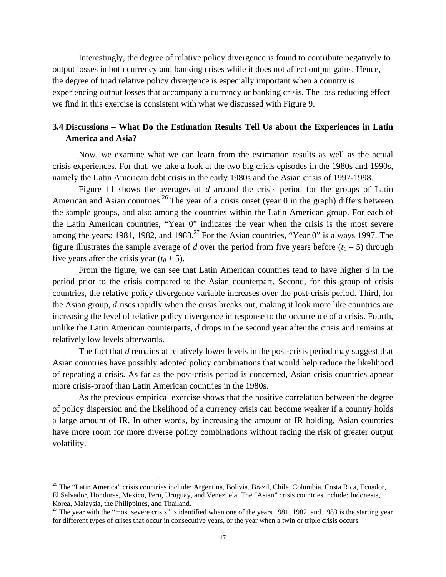Interestingly, the degree of relative policy divergence is found to contribute negatively to output losses in both currency and banking crises while it does not affect output gains. Hence, the degree of triad relative policy divergence is especially important when a country is experiencing output losses that accompany a currency or banking crisis. The loss reducing effect we find in this exercise is consistent with what we discussed with Figure 9.

## **3.4 Discussions – What Do the Estimation Results Tell Us about the Experiences in Latin America and Asia?**

Now, we examine what we can learn from the estimation results as well as the actual crisis experiences. For that, we take a look at the two big crisis episodes in the 1980s and 1990s, namely the Latin American debt crisis in the early 1980s and the Asian crisis of 1997-1998.

Figure 11 shows the averages of *d* around the crisis period for the groups of Latin American and Asian countries.<sup>26</sup> The year of a crisis onset (year 0 in the graph) differs between the sample groups, and also among the countries within the Latin American group. For each of the Latin American countries, "Year 0" indicates the year when the crisis is the most severe among the years: 1981, 1982, and 1983.<sup>27</sup> For the Asian countries, "Year 0" is always 1997. The figure illustrates the sample average of *d* over the period from five years before  $(t_0 - 5)$  through five years after the crisis year  $(t_0 + 5)$ .

From the figure, we can see that Latin American countries tend to have higher *d* in the period prior to the crisis compared to the Asian counterpart. Second, for this group of crisis countries, the relative policy divergence variable increases over the post-crisis period. Third, for the Asian group, *d* rises rapidly when the crisis breaks out, making it look more like countries are increasing the level of relative policy divergence in response to the occurrence of a crisis. Fourth, unlike the Latin American counterparts, *d* drops in the second year after the crisis and remains at relatively low levels afterwards.

The fact that *d* remains at relatively lower levels in the post-crisis period may suggest that Asian countries have possibly adopted policy combinations that would help reduce the likelihood of repeating a crisis. As far as the post-crisis period is concerned, Asian crisis countries appear more crisis-proof than Latin American countries in the 1980s.

As the previous empirical exercise shows that the positive correlation between the degree of policy dispersion and the likelihood of a currency crisis can become weaker if a country holds a large amount of IR. In other words, by increasing the amount of IR holding, Asian countries have more room for more diverse policy combinations without facing the risk of greater output volatility.

<sup>&</sup>lt;sup>26</sup> The "Latin America" crisis countries include: Argentina, Bolivia, Brazil, Chile, Columbia, Costa Rica, Ecuador, El Salvador, Honduras, Mexico, Peru, Uruguay, and Venezuela. The "Asian" crisis countries include: Indonesia, Korea, Malaysia, the Philippines, and Thailand.

 $27$  The year with the "most severe crisis" is identified when one of the years 1981, 1982, and 1983 is the starting year for different types of crises that occur in consecutive years, or the year when a twin or triple crisis occurs.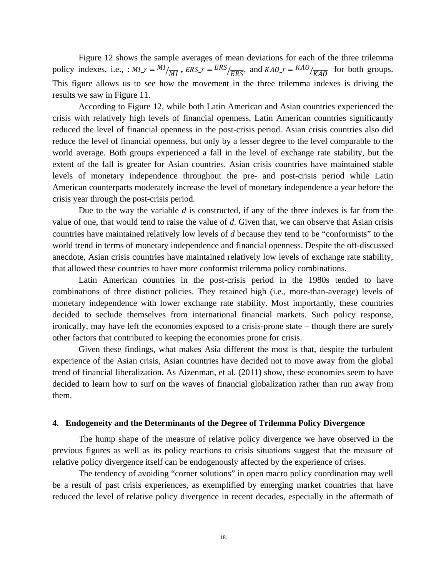Figure 12 shows the sample averages of mean deviations for each of the three trilemma policy indexes, i.e., :  $MI_r = \frac{MI}{\overline{MI}}$ ,  $ERS_r = \frac{ERS}{ERS}$ , and  $KAO_r = \frac{KAO}{KAO}$  for both groups. This figure allows us to see how the movement in the three trilemma indexes is driving the results we saw in Figure 11.

According to Figure 12, while both Latin American and Asian countries experienced the crisis with relatively high levels of financial openness, Latin American countries significantly reduced the level of financial openness in the post-crisis period. Asian crisis countries also did reduce the level of financial openness, but only by a lesser degree to the level comparable to the world average. Both groups experienced a fall in the level of exchange rate stability, but the extent of the fall is greater for Asian countries. Asian crisis countries have maintained stable levels of monetary independence throughout the pre- and post-crisis period while Latin American counterparts moderately increase the level of monetary independence a year before the crisis year through the post-crisis period.

Due to the way the variable *d* is constructed, if any of the three indexes is far from the value of one, that would tend to raise the value of *d*. Given that, we can observe that Asian crisis countries have maintained relatively low levels of *d* because they tend to be "conformists" to the world trend in terms of monetary independence and financial openness. Despite the oft-discussed anecdote, Asian crisis countries have maintained relatively low levels of exchange rate stability, that allowed these countries to have more conformist trilemma policy combinations.

Latin American countries in the post-crisis period in the 1980s tended to have combinations of three distinct policies. They retained high (i.e., more-than-average) levels of monetary independence with lower exchange rate stability. Most importantly, these countries decided to seclude themselves from international financial markets. Such policy response, ironically, may have left the economies exposed to a crisis-prone state – though there are surely other factors that contributed to keeping the economies prone for crisis.

Given these findings, what makes Asia different the most is that, despite the turbulent experience of the Asian crisis, Asian countries have decided not to move away from the global trend of financial liberalization. As Aizenman, et al. (2011) show, these economies seem to have decided to learn how to surf on the waves of financial globalization rather than run away from them.

#### **4. Endogeneity and the Determinants of the Degree of Trilemma Policy Divergence**

The hump shape of the measure of relative policy divergence we have observed in the previous figures as well as its policy reactions to crisis situations suggest that the measure of relative policy divergence itself can be endogenously affected by the experience of crises.

The tendency of avoiding "corner solutions" in open macro policy coordination may well be a result of past crisis experiences, as exemplified by emerging market countries that have reduced the level of relative policy divergence in recent decades, especially in the aftermath of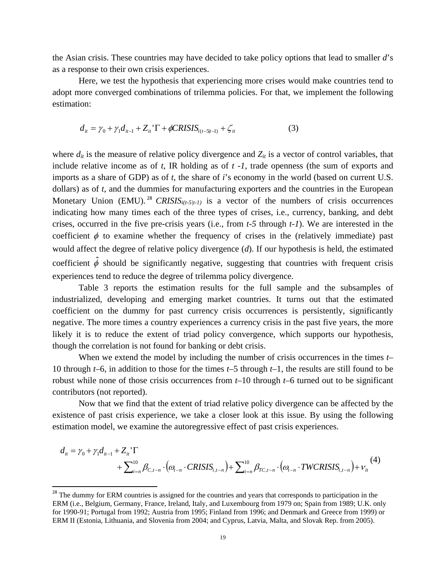the Asian crisis. These countries may have decided to take policy options that lead to smaller *d*'s as a response to their own crisis experiences.

Here, we test the hypothesis that experiencing more crises would make countries tend to adopt more converged combinations of trilemma policies. For that, we implement the following estimation:

$$
d_{it} = \gamma_0 + \gamma_1 d_{it-1} + Z_{it} \cdot \Gamma + \phi CRISIS_{i(t-5|t-1)} + \zeta_{it}
$$
 (3)

where  $d_{it}$  is the measure of relative policy divergence and  $Z_{it}$  is a vector of control variables, that include relative income as of *t*, IR holding as of *t -1*, trade openness (the sum of exports and imports as a share of GDP) as of *t*, the share of *i*'s economy in the world (based on current U.S. dollars) as of *t*, and the dummies for manufacturing exporters and the countries in the European Monetary Union (EMU).<sup>28</sup> *CRISIS<sub>i(t-5/t-1)*</sub> is a vector of the numbers of crisis occurrences indicating how many times each of the three types of crises, i.e., currency, banking, and debt crises, occurred in the five pre-crisis years (i.e., from *t-5* through *t-1*). We are interested in the coefficient  $\phi$  to examine whether the frequency of crises in the (relatively immediate) past would affect the degree of relative policy divergence (*d*). If our hypothesis is held, the estimated coefficient  $\hat{\phi}$  should be significantly negative, suggesting that countries with frequent crisis experiences tend to reduce the degree of trilemma policy divergence.

Table 3 reports the estimation results for the full sample and the subsamples of industrialized, developing and emerging market countries. It turns out that the estimated coefficient on the dummy for past currency crisis occurrences is persistently, significantly negative. The more times a country experiences a currency crisis in the past five years, the more likely it is to reduce the extent of triad policy convergence, which supports our hypothesis, though the correlation is not found for banking or debt crisis.

When we extend the model by including the number of crisis occurrences in the times *t*– 10 through *t*–6, in addition to those for the times *t*–5 through *t*–1, the results are still found to be robust while none of those crisis occurrences from *t*–10 through *t*–6 turned out to be significant contributors (not reported).

Now that we find that the extent of triad relative policy divergence can be affected by the existence of past crisis experience, we take a closer look at this issue. By using the following estimation model, we examine the autoregressive effect of past crisis experiences.

$$
d_{it} = \gamma_0 + \gamma_1 d_{it-1} + Z_{it}^{\top} \Gamma
$$
  
+  $\sum_{i=n}^{10} \beta_{C,t-n} \cdot (\omega_{t-n} \cdot CRISIS_{i,t-n}) + \sum_{i=n}^{10} \beta_{TC,t-n} \cdot (\omega_{t-n} \cdot TWCRISIS_{i,t-n}) + V_{it}^{(4)}$ 

<sup>&</sup>lt;sup>28</sup> The dummy for ERM countries is assigned for the countries and years that corresponds to participation in the ERM (i.e., Belgium, Germany, France, Ireland, Italy, and Luxembourg from 1979 on; Spain from 1989; U.K. only for 1990-91; Portugal from 1992; Austria from 1995; Finland from 1996; and Denmark and Greece from 1999) or ERM II (Estonia, Lithuania, and Slovenia from 2004; and Cyprus, Latvia, Malta, and Slovak Rep. from 2005).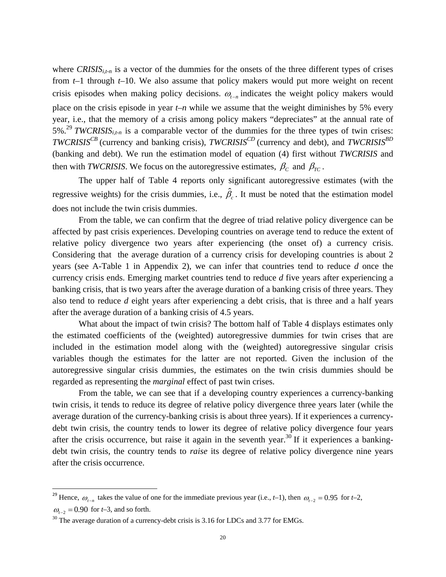where  $CRISIS<sub>i,t-n</sub>$  is a vector of the dummies for the onsets of the three different types of crises from *t*–1 through *t*–10. We also assume that policy makers would put more weight on recent crisis episodes when making policy decisions.  $\omega_{t-n}$  indicates the weight policy makers would place on the crisis episode in year *t–n* while we assume that the weight diminishes by 5% every year, i.e., that the memory of a crisis among policy makers "depreciates" at the annual rate of 5%.<sup>29</sup> *TWCRISISi,t-n* is a comparable vector of the dummies for the three types of twin crises: *TWCRISIS<sup>CB</sup>* (currency and banking crisis), *TWCRISIS<sup>CD</sup>* (currency and debt), and *TWCRISIS*<sup>BD</sup> (banking and debt). We run the estimation model of equation (4) first without *TWCRISIS* and then with *TWCRISIS*. We focus on the autoregressive estimates,  $\beta_c$  and  $\beta_{TC}$ .

 The upper half of Table 4 reports only significant autoregressive estimates (with the regressive weights) for the crisis dummies, i.e.,  $\hat{\beta}_c$ . It must be noted that the estimation model does not include the twin crisis dummies.

From the table, we can confirm that the degree of triad relative policy divergence can be affected by past crisis experiences. Developing countries on average tend to reduce the extent of relative policy divergence two years after experiencing (the onset of) a currency crisis. Considering that the average duration of a currency crisis for developing countries is about 2 years (see A-Table 1 in Appendix 2), we can infer that countries tend to reduce *d* once the currency crisis ends. Emerging market countries tend to reduce *d* five years after experiencing a banking crisis, that is two years after the average duration of a banking crisis of three years. They also tend to reduce *d* eight years after experiencing a debt crisis, that is three and a half years after the average duration of a banking crisis of 4.5 years.

What about the impact of twin crisis? The bottom half of Table 4 displays estimates only the estimated coefficients of the (weighted) autoregressive dummies for twin crises that are included in the estimation model along with the (weighted) autoregressive singular crisis variables though the estimates for the latter are not reported. Given the inclusion of the autoregressive singular crisis dummies, the estimates on the twin crisis dummies should be regarded as representing the *marginal* effect of past twin crises.

 From the table, we can see that if a developing country experiences a currency-banking twin crisis, it tends to reduce its degree of relative policy divergence three years later (while the average duration of the currency-banking crisis is about three years). If it experiences a currencydebt twin crisis, the country tends to lower its degree of relative policy divergence four years after the crisis occurrence, but raise it again in the seventh year.<sup>30</sup> If it experiences a bankingdebt twin crisis, the country tends to *raise* its degree of relative policy divergence nine years after the crisis occurrence.

<sup>&</sup>lt;sup>29</sup> Hence,  $\omega_{t-n}$  takes the value of one for the immediate previous year (i.e., *t*–1), then  $\omega_{t-2} = 0.95$  for *t*–2,  $\omega_{t-2} = 0.90$  for *t*–3, and so forth.

 $30$  The average duration of a currency-debt crisis is 3.16 for LDCs and 3.77 for EMGs.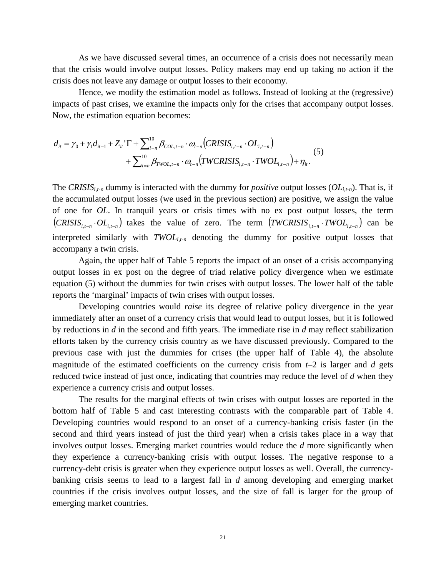As we have discussed several times, an occurrence of a crisis does not necessarily mean that the crisis would involve output losses. Policy makers may end up taking no action if the crisis does not leave any damage or output losses to their economy.

Hence, we modify the estimation model as follows. Instead of looking at the (regressive) impacts of past crises, we examine the impacts only for the crises that accompany output losses. Now, the estimation equation becomes:

$$
d_{it} = \gamma_0 + \gamma_1 d_{it-1} + Z_{it} \cdot \Gamma + \sum_{i=n}^{10} \beta_{COL, t-n} \cdot \omega_{t-n} (CRISIS_{i, t-n} \cdot OL_{i, t-n}) + \sum_{i=n}^{10} \beta_{TWOL, t-n} \cdot \omega_{t-n} (TWCRISIS_{i, t-n} \cdot TWOL_{i, t-n}) + \eta_{it}.
$$
 (5)

The *CRISIS<sub>i,t-n</sub>* dummy is interacted with the dummy for *positive* output losses  $(OL_{i,t-n})$ . That is, if the accumulated output losses (we used in the previous section) are positive, we assign the value of one for *OL*. In tranquil years or crisis times with no ex post output losses, the term  $(CRISIS_{i,t-n} \cdot OL_{i,t-n})$  takes the value of zero. The term  $(TWCRISIS_{i,t-n} \cdot TWOL_{i,t-n})$  can be interpreted similarly with *TWOLi,t-n* denoting the dummy for positive output losses that accompany a twin crisis.

Again, the upper half of Table 5 reports the impact of an onset of a crisis accompanying output losses in ex post on the degree of triad relative policy divergence when we estimate equation (5) without the dummies for twin crises with output losses. The lower half of the table reports the 'marginal' impacts of twin crises with output losses.

 Developing countries would *raise* its degree of relative policy divergence in the year immediately after an onset of a currency crisis that would lead to output losses, but it is followed by reductions in *d* in the second and fifth years. The immediate rise in *d* may reflect stabilization efforts taken by the currency crisis country as we have discussed previously. Compared to the previous case with just the dummies for crises (the upper half of Table 4), the absolute magnitude of the estimated coefficients on the currency crisis from  $t-2$  is larger and  $d$  gets reduced twice instead of just once, indicating that countries may reduce the level of *d* when they experience a currency crisis and output losses.

 The results for the marginal effects of twin crises with output losses are reported in the bottom half of Table 5 and cast interesting contrasts with the comparable part of Table 4. Developing countries would respond to an onset of a currency-banking crisis faster (in the second and third years instead of just the third year) when a crisis takes place in a way that involves output losses. Emerging market countries would reduce the *d* more significantly when they experience a currency-banking crisis with output losses. The negative response to a currency-debt crisis is greater when they experience output losses as well. Overall, the currencybanking crisis seems to lead to a largest fall in *d* among developing and emerging market countries if the crisis involves output losses, and the size of fall is larger for the group of emerging market countries.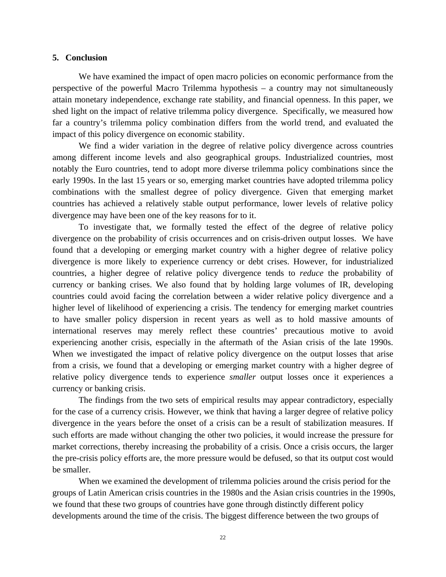## **5. Conclusion**

We have examined the impact of open macro policies on economic performance from the perspective of the powerful Macro Trilemma hypothesis – a country may not simultaneously attain monetary independence, exchange rate stability, and financial openness. In this paper, we shed light on the impact of relative trilemma policy divergence. Specifically, we measured how far a country's trilemma policy combination differs from the world trend, and evaluated the impact of this policy divergence on economic stability.

We find a wider variation in the degree of relative policy divergence across countries among different income levels and also geographical groups. Industrialized countries, most notably the Euro countries, tend to adopt more diverse trilemma policy combinations since the early 1990s. In the last 15 years or so, emerging market countries have adopted trilemma policy combinations with the smallest degree of policy divergence. Given that emerging market countries has achieved a relatively stable output performance, lower levels of relative policy divergence may have been one of the key reasons for to it.

To investigate that, we formally tested the effect of the degree of relative policy divergence on the probability of crisis occurrences and on crisis-driven output losses. We have found that a developing or emerging market country with a higher degree of relative policy divergence is more likely to experience currency or debt crises. However, for industrialized countries, a higher degree of relative policy divergence tends to *reduce* the probability of currency or banking crises. We also found that by holding large volumes of IR, developing countries could avoid facing the correlation between a wider relative policy divergence and a higher level of likelihood of experiencing a crisis. The tendency for emerging market countries to have smaller policy dispersion in recent years as well as to hold massive amounts of international reserves may merely reflect these countries' precautious motive to avoid experiencing another crisis, especially in the aftermath of the Asian crisis of the late 1990s. When we investigated the impact of relative policy divergence on the output losses that arise from a crisis, we found that a developing or emerging market country with a higher degree of relative policy divergence tends to experience *smaller* output losses once it experiences a currency or banking crisis.

The findings from the two sets of empirical results may appear contradictory, especially for the case of a currency crisis. However, we think that having a larger degree of relative policy divergence in the years before the onset of a crisis can be a result of stabilization measures. If such efforts are made without changing the other two policies, it would increase the pressure for market corrections, thereby increasing the probability of a crisis. Once a crisis occurs, the larger the pre-crisis policy efforts are, the more pressure would be defused, so that its output cost would be smaller.

When we examined the development of trilemma policies around the crisis period for the groups of Latin American crisis countries in the 1980s and the Asian crisis countries in the 1990s, we found that these two groups of countries have gone through distinctly different policy developments around the time of the crisis. The biggest difference between the two groups of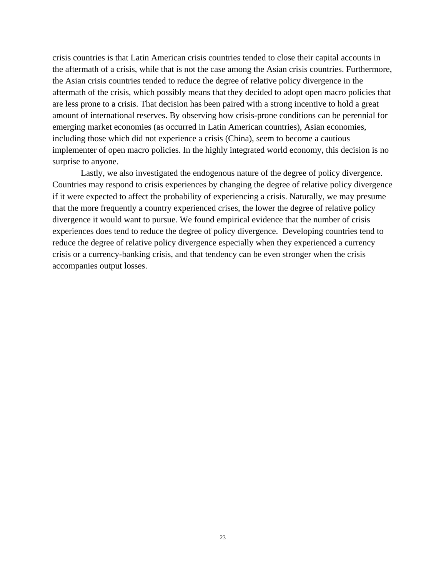crisis countries is that Latin American crisis countries tended to close their capital accounts in the aftermath of a crisis, while that is not the case among the Asian crisis countries. Furthermore, the Asian crisis countries tended to reduce the degree of relative policy divergence in the aftermath of the crisis, which possibly means that they decided to adopt open macro policies that are less prone to a crisis. That decision has been paired with a strong incentive to hold a great amount of international reserves. By observing how crisis-prone conditions can be perennial for emerging market economies (as occurred in Latin American countries), Asian economies, including those which did not experience a crisis (China), seem to become a cautious implementer of open macro policies. In the highly integrated world economy, this decision is no surprise to anyone.

 Lastly, we also investigated the endogenous nature of the degree of policy divergence. Countries may respond to crisis experiences by changing the degree of relative policy divergence if it were expected to affect the probability of experiencing a crisis. Naturally, we may presume that the more frequently a country experienced crises, the lower the degree of relative policy divergence it would want to pursue. We found empirical evidence that the number of crisis experiences does tend to reduce the degree of policy divergence. Developing countries tend to reduce the degree of relative policy divergence especially when they experienced a currency crisis or a currency-banking crisis, and that tendency can be even stronger when the crisis accompanies output losses.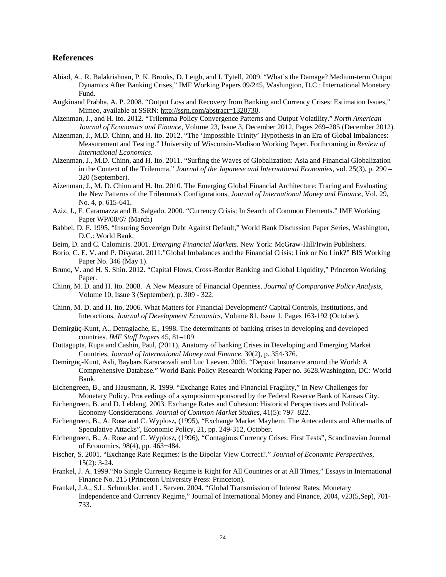#### **References**

- Abiad, A., R. Balakrishnan, P. K. Brooks, D. Leigh, and I. Tytell, 2009. "What's the Damage? Medium-term Output Dynamics After Banking Crises," IMF Working Papers 09/245, Washington, D.C.: International Monetary Fund.
- Angkinand Prabha, A. P. 2008. "Output Loss and Recovery from Banking and Currency Crises: Estimation Issues," Mimeo, available at SSRN: http://ssrn.com/abstract=1320730.
- Aizenman, J., and H. Ito. 2012. "Trilemma Policy Convergence Patterns and Output Volatility." *North American Journal of Economics and Finance*, Volume 23, Issue 3, December 2012, Pages 269–285 (December 2012).
- Aizenman, J., M.D. Chinn, and H. Ito. 2012. "The 'Impossible Trinity' Hypothesis in an Era of Global Imbalances: Measurement and Testing." University of Wisconsin-Madison Working Paper. Forthcoming in *Review of International Economics*.
- Aizenman, J., M.D. Chinn, and H. Ito. 2011. "Surfing the Waves of Globalization: Asia and Financial Globalization in the Context of the Trilemma," *Journal of the Japanese and International Economies*, vol. 25(3), p. 290 – 320 (September).
- Aizenman, J., M. D. Chinn and H. Ito. 2010. The Emerging Global Financial Architecture: Tracing and Evaluating the New Patterns of the Trilemma's Configurations, *Journal of International Money and Finance*, Vol. 29, No. 4, p. 615-641.
- Aziz, J., F. Caramazza and R. Salgado. 2000. "Currency Crisis: In Search of Common Elements." IMF Working Paper WP/00/67 (March)
- Babbel, D. F. 1995. "Insuring Sovereign Debt Against Default," World Bank Discussion Paper Series, Washington, D.C.: World Bank.
- Beim, D. and C. Calomiris. 2001. *Emerging Financial Markets.* New York: McGraw-Hill/Irwin Publishers.
- Borio, C. E. V. and P. Disyatat. 2011."Global Imbalances and the Financial Crisis: Link or No Link?" BIS Working Paper No. 346 (May 1).
- Bruno, V. and H. S. Shin. 2012. "Capital Flows, Cross-Border Banking and Global Liquidity," Princeton Working Paper.
- Chinn, M. D. and H. Ito. 2008. A New Measure of Financial Openness. *Journal of Comparative Policy Analysis*, Volume 10, Issue 3 (September), p. 309 - 322.
- Chinn, M. D. and H. Ito, 2006. What Matters for Financial Development? Capital Controls, Institutions, and Interactions, *Journal of Development Economics*, Volume 81, Issue 1, Pages 163-192 (October).
- Demirgüç-Kunt, A., Detragiache, E., 1998. The determinants of banking crises in developing and developed countries. *IMF Staff Papers* 45, 81–109.
- Duttagupta, Rupa and Cashin, Paul, (2011), Anatomy of banking Crises in Developing and Emerging Market Countries, *Journal of International Money and Finance*, 30(2), p. 354‐376.
- Demirgüç-Kunt, Asli, Baybars Karacaovali and Luc Laeven. 2005. "Deposit Insurance around the World: A Comprehensive Database." World Bank Policy Research Working Paper no. 3628.Washington, DC: World Bank.
- Eichengreen, B., and Hausmann, R. 1999. "Exchange Rates and Financial Fragility," In New Challenges for Monetary Policy. Proceedings of a symposium sponsored by the Federal Reserve Bank of Kansas City.
- Eichengreen, B. and D. Leblang. 2003. Exchange Rates and Cohesion: Historical Perspectives and Political-Economy Considerations. *Journal of Common Market Studies*, 41(5): 797–822.
- Eichengreen, B., A. Rose and C. Wyplosz, (1995), "Exchange Market Mayhem: The Antecedents and Aftermaths of Speculative Attacks", Economic Policy, 21, pp. 249-312, October.
- Eichengreen, B., A. Rose and C. Wyplosz, (1996), "Contagious Currency Crises: First Tests", Scandinavian Journal of Economics, 98(4), pp. 463−484.
- Fischer, S. 2001. "Exchange Rate Regimes: Is the Bipolar View Correct?." *Journal of Economic Perspectives*, 15(2): 3-24.
- Frankel, J. A. 1999."No Single Currency Regime is Right for All Countries or at All Times," Essays in International Finance No. 215 (Princeton University Press: Princeton).
- Frankel, J.A., S.L. Schmukler, and L. Serven. 2004. "Global Transmission of Interest Rates: Monetary Independence and Currency Regime," Journal of International Money and Finance, 2004, v23(5,Sep), 701- 733.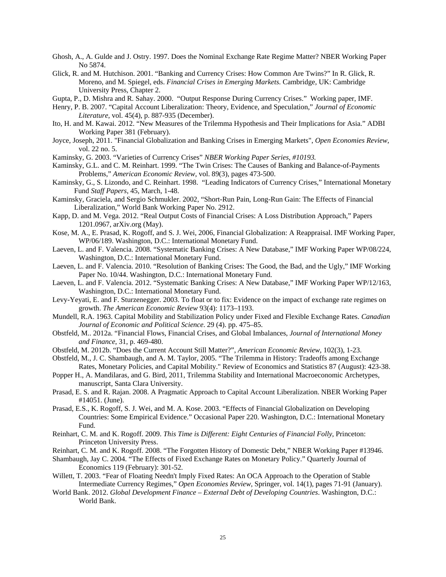- Ghosh, A., A. Gulde and J. Ostry. 1997. Does the Nominal Exchange Rate Regime Matter? NBER Working Paper No 5874.
- Glick, R. and M. Hutchison. 2001. "Banking and Currency Crises: How Common Are Twins?" In R. Glick, R. Moreno, and M. Spiegel, eds. *Financial Crises in Emerging Markets.* Cambridge, UK: Cambridge University Press, Chapter 2.
- Gupta, P., D. Mishra and R. Sahay. 2000. "Output Response During Currency Crises." Working paper, IMF.
- Henry, P. B. 2007. "Capital Account Liberalization: Theory, Evidence, and Speculation," *Journal of Economic Literature*, vol. 45(4), p. 887-935 (December).
- Ito, H. and M. Kawai. 2012. "New Measures of the Trilemma Hypothesis and Their Implications for Asia." ADBI Working Paper 381 (February).
- Joyce, Joseph, 2011. "Financial Globalization and Banking Crises in Emerging Markets", *Open Economies Review*, vol. 22 no. 5.
- Kaminsky, G. 2003. "Varieties of Currency Crises" *NBER Working Paper Series, #10193.*
- Kaminsky, G.L. and C. M. Reinhart. 1999. "The Twin Crises: The Causes of Banking and Balance-of-Payments Problems," *American Economic Review*, vol. 89(3), pages 473-500.
- Kaminsky, G., S. Lizondo, and C. Reinhart. 1998. "Leading Indicators of Currency Crises," International Monetary Fund *Staff Papers,* 45, March, 1-48.
- Kaminsky, Graciela, and Sergio Schmukler. 2002, "Short-Run Pain, Long-Run Gain: The Effects of Financial Liberalization," World Bank Working Paper No. 2912.
- Kapp, D. and M. Vega. 2012. "Real Output Costs of Financial Crises: A Loss Distribution Approach," Papers 1201.0967, arXiv.org (May).
- Kose, M. A., E. Prasad, K. Rogoff, and S. J. Wei, 2006, Financial Globalization: A Reappraisal. IMF Working Paper, WP/06/189. Washington, D.C.: International Monetary Fund.
- Laeven, L. and F. Valencia. 2008. "Systematic Banking Crises: A New Database," IMF Working Paper WP/08/224, Washington, D.C.: International Monetary Fund.
- Laeven, L. and F. Valencia. 2010. "Resolution of Banking Crises: The Good, the Bad, and the Ugly," IMF Working Paper No. 10/44. Washington, D.C.: International Monetary Fund.
- Laeven, L. and F. Valencia. 2012. "Systematic Banking Crises: A New Database," IMF Working Paper WP/12/163, Washington, D.C.: International Monetary Fund.
- Levy-Yeyati, E. and F. Sturzenegger. 2003. To float or to fix: Evidence on the impact of exchange rate regimes on growth. *The American Economic Review* 93(4): 1173–1193.
- Mundell, R.A. 1963. Capital Mobility and Stabilization Policy under Fixed and Flexible Exchange Rates. *Canadian Journal of Economic and Political Science*. 29 (4). pp. 475–85.
- Obstfeld, M.. 2012a. "Financial Flows, Financial Crises, and Global Imbalances, *Journal of International Money and Finance*, 31, p. 469-480.
- Obstfeld, M. 2012b. "Does the Current Account Still Matter?", *American Economic Review*, 102(3), 1-23.
- Obstfeld, M., J. C. Shambaugh, and A. M. Taylor, 2005. "The Trilemma in History: Tradeoffs among Exchange Rates, Monetary Policies, and Capital Mobility." Review of Economics and Statistics 87 (August): 423-38.
- Popper H., A. Mandilaras, and G. Bird, 2011, Trilemma Stability and International Macroeconomic Archetypes, manuscript, Santa Clara University.
- Prasad, E. S. and R. Rajan. 2008. A Pragmatic Approach to Capital Account Liberalization. NBER Working Paper #14051. (June).
- Prasad, E.S., K. Rogoff, S. J. Wei, and M. A. Kose. 2003. "Effects of Financial Globalization on Developing Countries: Some Empirical Evidence." Occasional Paper 220. Washington, D.C.: International Monetary Fund.
- Reinhart, C. M. and K. Rogoff. 2009. *This Time is Different: Eight Centuries of Financial Folly*, Princeton: Princeton University Press.
- Reinhart, C. M. and K. Rogoff. 2008. "The Forgotten History of Domestic Debt," NBER Working Paper #13946.
- Shambaugh, Jay C. 2004. "The Effects of Fixed Exchange Rates on Monetary Policy." Quarterly Journal of Economics 119 (February): 301-52.
- Willett, T. 2003. "Fear of Floating Needn't Imply Fixed Rates: An OCA Approach to the Operation of Stable Intermediate Currency Regimes," *Open Economies Review*, Springer, vol. 14(1), pages 71-91 (January).
- World Bank. 2012. *Global Development Finance External Debt of Developing Countries*. Washington, D.C.: World Bank.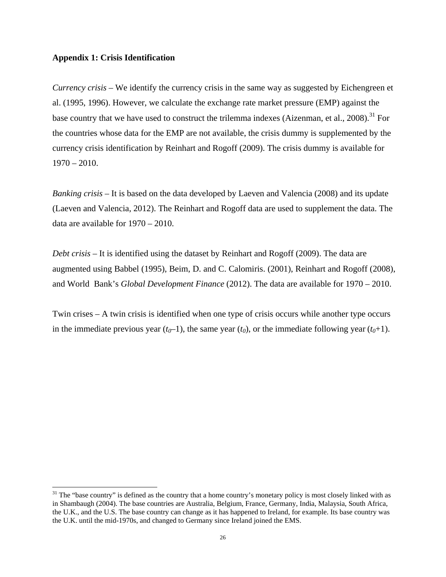## **Appendix 1: Crisis Identification**

*Currency crisis* – We identify the currency crisis in the same way as suggested by Eichengreen et al. (1995, 1996). However, we calculate the exchange rate market pressure (EMP) against the base country that we have used to construct the trilemma indexes (Aizenman, et al., 2008).<sup>31</sup> For the countries whose data for the EMP are not available, the crisis dummy is supplemented by the currency crisis identification by Reinhart and Rogoff (2009). The crisis dummy is available for  $1970 - 2010.$ 

*Banking crisis* – It is based on the data developed by Laeven and Valencia (2008) and its update (Laeven and Valencia, 2012). The Reinhart and Rogoff data are used to supplement the data. The data are available for 1970 – 2010.

*Debt crisis* – It is identified using the dataset by Reinhart and Rogoff (2009). The data are augmented using Babbel (1995), Beim, D. and C. Calomiris. (2001), Reinhart and Rogoff (2008), and World Bank's *Global Development Finance* (2012). The data are available for 1970 – 2010.

Twin crises – A twin crisis is identified when one type of crisis occurs while another type occurs in the immediate previous year  $(t_0-1)$ , the same year  $(t_0)$ , or the immediate following year  $(t_0+1)$ .

 $31$  The "base country" is defined as the country that a home country's monetary policy is most closely linked with as in Shambaugh (2004). The base countries are Australia, Belgium, France, Germany, India, Malaysia, South Africa, the U.K., and the U.S. The base country can change as it has happened to Ireland, for example. Its base country was the U.K. until the mid-1970s, and changed to Germany since Ireland joined the EMS.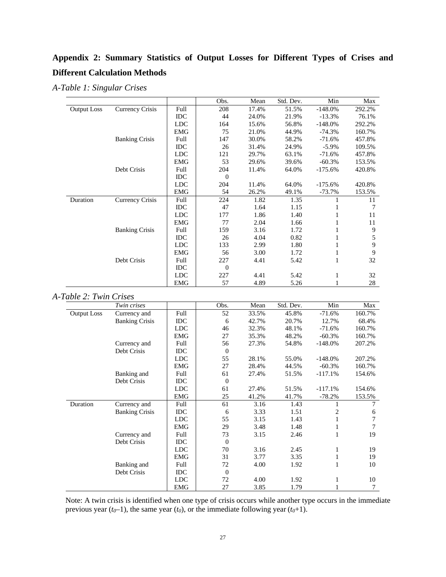# **Appendix 2: Summary Statistics of Output Losses for Different Types of Crises and Different Calculation Methods**

*A-Table 1: Singular Crises* 

|                    |                       |            | Obs.           | Mean  | Std. Dev. | Min       | Max    |
|--------------------|-----------------------|------------|----------------|-------|-----------|-----------|--------|
| <b>Output Loss</b> | Currency Crisis       | Full       | 208            | 17.4% | 51.5%     | $-148.0%$ | 292.2% |
|                    |                       | <b>IDC</b> | 44             | 24.0% | 21.9%     | $-13.3%$  | 76.1%  |
|                    |                       | <b>LDC</b> | 164            | 15.6% | 56.8%     | $-148.0%$ | 292.2% |
|                    |                       | <b>EMG</b> | 75             | 21.0% | 44.9%     | $-74.3%$  | 160.7% |
|                    | <b>Banking Crisis</b> | Full       | 147            | 30.0% | 58.2%     | $-71.6%$  | 457.8% |
|                    |                       | <b>IDC</b> | 26             | 31.4% | 24.9%     | $-5.9\%$  | 109.5% |
|                    |                       | <b>LDC</b> | 121            | 29.7% | 63.1%     | $-71.6%$  | 457.8% |
|                    |                       | <b>EMG</b> | 53             | 29.6% | 39.6%     | $-60.3%$  | 153.5% |
|                    | Debt Crisis           | Full       | 204            | 11.4% | 64.0%     | $-175.6%$ | 420.8% |
|                    |                       | <b>IDC</b> | $\overline{0}$ |       |           |           |        |
|                    |                       | LDC        | 204            | 11.4% | 64.0%     | $-175.6%$ | 420.8% |
|                    |                       | <b>EMG</b> | 54             | 26.2% | 49.1%     | $-73.7%$  | 153.5% |
| Duration           | Currency Crisis       | Full       | 224            | 1.82  | 1.35      |           | 11     |
|                    |                       | <b>IDC</b> | 47             | 1.64  | 1.15      |           | 7      |
|                    |                       | <b>LDC</b> | 177            | 1.86  | 1.40      |           | 11     |
|                    |                       | <b>EMG</b> | 77             | 2.04  | 1.66      | 1         | 11     |
|                    | <b>Banking Crisis</b> | Full       | 159            | 3.16  | 1.72      |           | 9      |
|                    |                       | <b>IDC</b> | 26             | 4.04  | 0.82      | 1         | 5      |
|                    |                       | <b>LDC</b> | 133            | 2.99  | 1.80      | 1         | 9      |
|                    |                       | <b>EMG</b> | 56             | 3.00  | 1.72      | 1         | 9      |
|                    | Debt Crisis           | Full       | 227            | 4.41  | 5.42      | 1         | 32     |
|                    |                       | <b>IDC</b> | $\overline{0}$ |       |           |           |        |
|                    |                       | LDC        | 227            | 4.41  | 5.42      | 1         | 32     |
|                    |                       | <b>EMG</b> | 57             | 4.89  | 5.26      |           | 28     |

## *A-Table 2: Twin Crises*

|                    | Twin crises           |            | Obs.             | Mean  | Std. Dev. | Min       | Max    |
|--------------------|-----------------------|------------|------------------|-------|-----------|-----------|--------|
| <b>Output Loss</b> | Currency and          | Full       | 52               | 33.5% | 45.8%     | $-71.6%$  | 160.7% |
|                    | <b>Banking Crisis</b> | IDC        | 6                | 42.7% | 20.7%     | 12.7%     | 68.4%  |
|                    |                       | <b>LDC</b> | 46               | 32.3% | 48.1%     | $-71.6%$  | 160.7% |
|                    |                       | <b>EMG</b> | 27               | 35.3% | 48.2%     | $-60.3%$  | 160.7% |
|                    | Currency and          | Full       | 56               | 27.3% | 54.8%     | $-148.0%$ | 207.2% |
|                    | Debt Crisis           | IDC        | $\boldsymbol{0}$ |       |           |           |        |
|                    |                       | <b>LDC</b> | 55               | 28.1% | 55.0%     | $-148.0%$ | 207.2% |
|                    |                       | <b>EMG</b> | 27               | 28.4% | 44.5%     | $-60.3%$  | 160.7% |
|                    | Banking and           | Full       | 61               | 27.4% | 51.5%     | $-117.1%$ | 154.6% |
|                    | Debt Crisis           | IDC        | $\theta$         |       |           |           |        |
|                    |                       | <b>LDC</b> | 61               | 27.4% | 51.5%     | $-117.1%$ | 154.6% |
|                    |                       | <b>EMG</b> | 25               | 41.2% | 41.7%     | $-78.2%$  | 153.5% |
| Duration           | Currency and          | Full       | 61               | 3.16  | 1.43      |           | 7      |
|                    | <b>Banking Crisis</b> | <b>IDC</b> | 6                | 3.33  | 1.51      | 2         | 6      |
|                    |                       | <b>LDC</b> | 55               | 3.15  | 1.43      | 1         | 7      |
|                    |                       | <b>EMG</b> | 29               | 3.48  | 1.48      | 1         | 7      |
|                    | Currency and          | Full       | 73               | 3.15  | 2.46      | 1         | 19     |
|                    | Debt Crisis           | <b>IDC</b> | $\Omega$         |       |           |           |        |
|                    |                       | <b>LDC</b> | 70               | 3.16  | 2.45      | 1         | 19     |
|                    |                       | <b>EMG</b> | 31               | 3.77  | 3.35      | 1         | 19     |
|                    | Banking and           | Full       | 72               | 4.00  | 1.92      | 1         | 10     |
|                    | Debt Crisis           | <b>IDC</b> | $\Omega$         |       |           |           |        |
|                    |                       | <b>LDC</b> | 72               | 4.00  | 1.92      | 1         | 10     |
|                    |                       | <b>EMG</b> | 27               | 3.85  | 1.79      |           | 7      |

Note: A twin crisis is identified when one type of crisis occurs while another type occurs in the immediate previous year  $(t_0-1)$ , the same year  $(t_0)$ , or the immediate following year  $(t_0+1)$ .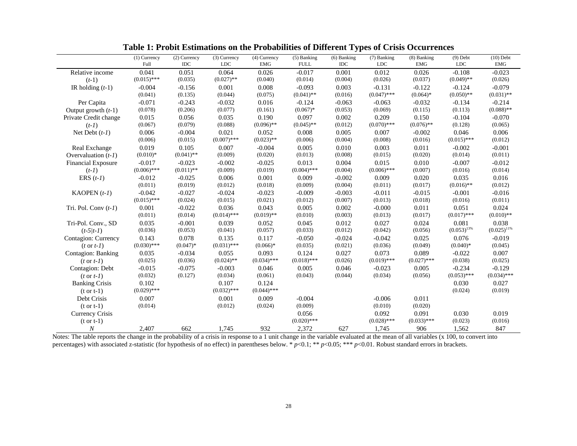|                           | $(1)$ Currency | (2) Currency | (3) Currency  | (4) Currency  | (5) Banking   | $(6)$ Banking | (7) Banking   | (8) Banking   | $(9)$ Debt       | $(10)$ Debt      |
|---------------------------|----------------|--------------|---------------|---------------|---------------|---------------|---------------|---------------|------------------|------------------|
|                           | Full           | <b>IDC</b>   | <b>LDC</b>    | <b>EMG</b>    | <b>FULL</b>   | IDC           | LDC           | EMG           | $\rm LDC$        | <b>EMG</b>       |
| Relative income           | 0.041          | 0.051        | 0.064         | 0.026         | $-0.017$      | 0.001         | 0.012         | 0.026         | $-0.108$         | $-0.023$         |
| $(t-1)$                   | $(0.015)$ ***  | (0.035)      | $(0.027)$ **  | (0.040)       | (0.014)       | (0.004)       | (0.026)       | (0.037)       | $(0.049)$ **     | (0.026)          |
| IR holding $(t-1)$        | $-0.004$       | $-0.156$     | 0.001         | 0.008         | $-0.093$      | 0.003         | $-0.131$      | $-0.122$      | $-0.124$         | $-0.079$         |
|                           | (0.041)        | (0.135)      | (0.044)       | (0.075)       | $(0.041)$ **  | (0.016)       | $(0.047)$ *** | $(0.064)*$    | $(0.050)$ **     | $(0.031)$ **     |
| Per Capita                | $-0.071$       | $-0.243$     | $-0.032$      | 0.016         | $-0.124$      | $-0.063$      | $-0.063$      | $-0.032$      | $-0.134$         | $-0.214$         |
| Output growth $(t-1)$     | (0.078)        | (0.206)      | (0.077)       | (0.161)       | $(0.067)*$    | (0.053)       | (0.069)       | (0.115)       | (0.113)          | $(0.088)$ **     |
| Private Credit change     | 0.015          | 0.056        | 0.035         | 0.190         | 0.097         | 0.002         | 0.209         | 0.150         | $-0.104$         | $-0.070$         |
| $(t-1)$                   | (0.067)        | (0.079)      | (0.088)       | $(0.096)$ **  | $(0.045)$ **  | (0.012)       | $(0.070)$ *** | $(0.076)$ **  | (0.128)          | (0.065)          |
| Net Debt $(t-1)$          | 0.006          | $-0.004$     | 0.021         | 0.052         | 0.008         | 0.005         | 0.007         | $-0.002$      | 0.046            | 0.006            |
|                           | (0.006)        | (0.015)      | $(0.007)$ *** | $(0.023)$ **  | (0.006)       | (0.004)       | (0.008)       | (0.016)       | $(0.015)$ ***    | (0.012)          |
| Real Exchange             | 0.019          | 0.105        | 0.007         | $-0.004$      | 0.005         | 0.010         | 0.003         | 0.011         | $-0.002$         | $-0.001$         |
| Overvaluation $(t-1)$     | $(0.010)*$     | $(0.041)$ ** | (0.009)       | (0.020)       | (0.013)       | (0.008)       | (0.015)       | (0.020)       | (0.014)          | (0.011)          |
| <b>Financial Exposure</b> | $-0.017$       | $-0.023$     | $-0.002$      | $-0.025$      | 0.013         | 0.004         | 0.015         | 0.010         | $-0.007$         | $-0.012$         |
| $(t-1)$                   | $(0.006)$ ***  | $(0.011)$ ** | (0.009)       | (0.019)       | $(0.004)$ *** | (0.004)       | $(0.006)$ *** | (0.007)       | (0.016)          | (0.014)          |
| ERS $(t-1)$               | $-0.012$       | $-0.025$     | 0.006         | 0.001         | 0.009         | $-0.002$      | 0.009         | 0.020         | 0.035            | 0.016            |
|                           | (0.011)        | (0.019)      | (0.012)       | (0.018)       | (0.009)       | (0.004)       | (0.011)       | (0.017)       | $(0.016)$ **     | (0.012)          |
| KAOPEN $(t-1)$            | $-0.042$       | $-0.027$     | $-0.024$      | $-0.023$      | $-0.009$      | $-0.003$      | $-0.011$      | $-0.015$      | $-0.001$         | $-0.016$         |
|                           | $(0.015)$ ***  | (0.024)      | (0.015)       | (0.021)       | (0.012)       | (0.007)       | (0.013)       | (0.018)       | (0.016)          | (0.011)          |
| Tri. Pol. Conv $(t-1)$    | 0.001          | $-0.022$     | 0.036         | 0.043         | 0.005         | 0.002         | $-0.000$      | 0.011         | 0.051            | 0.024            |
|                           | (0.011)        | (0.014)      | $(0.014)$ *** | $(0.019)$ **  | (0.010)       | (0.003)       | (0.013)       | (0.017)       | $(0.017)$ ***    | $(0.010)$ **     |
| Tri-Pol. Conv., SD        | 0.035          | $-0.001$     | 0.039         | 0.052         | 0.045         | 0.012         | 0.027         | 0.024         | 0.081            | 0.038            |
| $(t-5/t-1)$               | (0.036)        | (0.053)      | (0.041)       | (0.057)       | (0.033)       | (0.012)       | (0.042)       | (0.056)       | $(0.053)^{13\%}$ | $(0.025)^{11\%}$ |
| Contagion: Currency       | 0.143          | 0.078        | 0.135         | 0.117         | $-0.050$      | $-0.024$      | $-0.042$      | 0.025         | 0.076            | $-0.019$         |
| $(t \text{ or } t-l)$     | $(0.030)$ ***  | $(0.047)$ *  | $(0.031)$ *** | $(0.066)*$    | (0.035)       | (0.021)       | (0.036)       | (0.049)       | $(0.040)*$       | (0.045)          |
| Contagion: Banking        | 0.035          | $-0.034$     | 0.055         | 0.093         | 0.124         | 0.027         | 0.073         | 0.089         | $-0.022$         | 0.007            |
| $(t \text{ or } t-1)$     | (0.025)        | (0.036)      | $(0.024)$ **  | $(0.034)$ *** | $(0.018)$ *** | (0.026)       | $(0.019)$ *** | $(0.027)$ *** | (0.038)          | (0.025)          |
| Contagion: Debt           | $-0.015$       | $-0.075$     | $-0.003$      | 0.046         | 0.005         | 0.046         | $-0.023$      | 0.005         | $-0.234$         | $-0.129$         |
| $(t \text{ or } t-l)$     | (0.032)        | (0.127)      | (0.034)       | (0.061)       | (0.043)       | (0.044)       | (0.034)       | (0.056)       | $(0.053)$ ***    | $(0.034)$ ***    |
| <b>Banking Crisis</b>     | 0.102          |              | 0.107         | 0.124         |               |               |               |               | 0.030            | 0.027            |
| $(t \text{ or } t-1)$     | $(0.029)$ ***  |              | $(0.032)$ *** | $(0.044)$ *** |               |               |               |               | (0.024)          | (0.019)          |
| Debt Crisis               | 0.007          |              | 0.001         | 0.009         | $-0.004$      |               | $-0.006$      | 0.011         |                  |                  |
| $(t \text{ or } t-1)$     | (0.014)        |              | (0.012)       | (0.024)       | (0.009)       |               | (0.010)       | (0.020)       |                  |                  |
| <b>Currency Crisis</b>    |                |              |               |               | 0.056         |               | 0.092         | 0.091         | 0.030            | 0.019            |
| $(t \text{ or } t-1)$     |                |              |               |               | $(0.020)$ *** |               | $(0.028)$ *** | $(0.033)$ *** | (0.023)          | (0.016)          |
| $\boldsymbol{N}$          | 2.407          | 662          | 1,745         | 932           | 2,372         | 627           | 1,745         | 906           | 1,562            | 847              |

**Table 1: Probit Estimations on the Probabilities of Different Types of Crisis Occurrences** 

Notes: The table reports the change in the probability of a crisis in response to a 1 unit change in the variable evaluated at the mean of all variables (x 100, to convert into percentages) with associated z-statistic (for hypothesis of no effect) in parentheses below. \* *p*<0.1; \*\* *p*<0.05; \*\*\* *p*<0.01. Robust standard errors in brackets.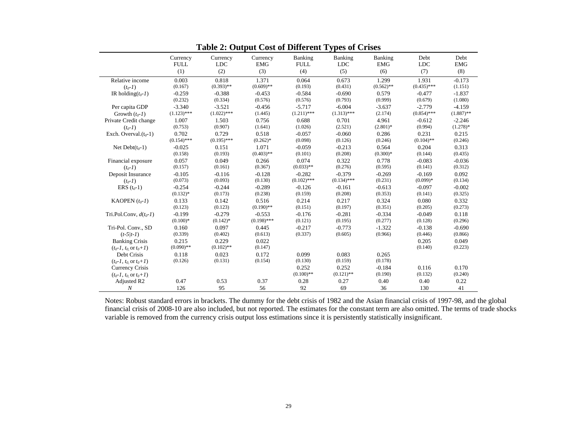|                                  | Currency<br><b>FULL</b><br>(1) | Currency<br><b>LDC</b><br>(2) | Currency<br><b>EMG</b><br>(3) | Banking<br><b>FULL</b><br>(4) | Banking<br><b>LDC</b><br>(5) | Banking<br><b>EMG</b><br>(6) | Debt<br><b>LDC</b><br>(7) | Debt<br><b>EMG</b><br>(8) |
|----------------------------------|--------------------------------|-------------------------------|-------------------------------|-------------------------------|------------------------------|------------------------------|---------------------------|---------------------------|
| Relative income                  | 0.003                          | 0.818                         | 1.371                         | 0.064                         | 0.673                        | 1.299                        | 1.931                     | $-0.173$                  |
| $(t_0 - I)$                      | (0.167)                        | $(0.393)$ **                  | $(0.609)$ **                  | (0.193)                       | (0.431)                      | $(0.562)$ **                 | $(0.435)$ ***             | (1.151)                   |
| IR holding $(t_0 - I)$           | $-0.259$                       | $-0.388$                      | $-0.453$                      | $-0.584$                      | $-0.690$                     | 0.579                        | $-0.477$                  | $-1.837$                  |
|                                  | (0.232)                        | (0.334)                       | (0.576)                       | (0.576)                       | (0.793)                      | (0.999)                      | (0.679)                   | (1.080)                   |
| Per capita GDP                   | $-3.340$                       | $-3.521$                      | $-0.456$                      | $-5.717$                      | $-6.004$                     | $-3.637$                     | $-2.779$                  | $-4.159$                  |
| Growth $(t_0-1)$                 | $(1.123)$ ***                  | $(1.022)$ ***                 | (1.445)                       | $(1.211)$ ***                 | $(1.313)$ ***                | (2.174)                      | $(0.854)$ ***             | $(1.887)$ **              |
| Private Credit change            | 1.007                          | 1.503                         | 0.756                         | 0.688                         | 0.701                        | 4.961                        | $-0.612$                  | $-2.246$                  |
| $(t_0 - I)$                      | (0.753)                        | (0.907)                       | (1.641)                       | (1.026)                       | (2.521)                      | $(2.801)$ *                  | (0.994)                   | $(1.278)*$                |
| Exch. Overval. $(t_0-1)$         | 0.702                          | 0.729                         | 0.518                         | $-0.057$                      | $-0.060$                     | 0.286                        | 0.231                     | 0.215                     |
|                                  | $(0.154)$ ***                  | $(0.195)$ ***                 | $(0.262)*$                    | (0.098)                       | (0.126)                      | (0.246)                      | $(0.104)$ **              | (0.246)                   |
| Net Debt $(t_0-1)$               | $-0.025$                       | 0.151                         | 1.071                         | $-0.059$                      | $-0.213$                     | 0.564                        | 0.204                     | 0.313                     |
|                                  | (0.158)                        | (0.193)                       | $(0.403)$ **                  | (0.101)                       | (0.208)                      | $(0.300)*$                   | (0.144)                   | (0.435)                   |
| Financial exposure               | 0.057                          | 0.049                         | 0.266                         | 0.074                         | 0.322                        | 0.778                        | $-0.083$                  | $-0.036$                  |
| $(t_0-1)$                        | (0.157)                        | (0.161)                       | (0.367)                       | $(0.033)$ **                  | (0.276)                      | (0.595)                      | (0.141)                   | (0.312)                   |
| Deposit Insurance                | $-0.105$                       | $-0.116$                      | $-0.128$                      | $-0.282$                      | $-0.379$                     | $-0.269$                     | $-0.169$                  | 0.092                     |
| $(t_0 - I)$                      | (0.073)                        | (0.093)                       | (0.130)                       | $(0.102)$ ***                 | $(0.134)$ ***                | (0.231)                      | $(0.099)*$                | (0.134)                   |
| ERS $(t_0-1)$                    | $-0.254$                       | $-0.244$                      | $-0.289$                      | $-0.126$                      | $-0.161$                     | $-0.613$                     | $-0.097$                  | $-0.002$                  |
|                                  | $(0.132)*$                     | (0.173)                       | (0.238)                       | (0.159)                       | (0.208)                      | (0.353)                      | (0.141)                   | (0.325)                   |
| KAOPEN $(t_0-1)$                 | 0.133                          | 0.142                         | 0.516                         | 0.214                         | 0.217                        | 0.324                        | 0.080                     | 0.332                     |
|                                  | (0.123)                        | (0.123)                       | $(0.190)$ **                  | (0.151)                       | (0.197)                      | (0.351)                      | (0.205)                   | (0.273)                   |
| Tri.Pol.Conv, $d(t_0-1)$         | $-0.199$                       | $-0.279$                      | $-0.553$                      | $-0.176$                      | $-0.281$                     | $-0.334$                     | $-0.049$                  | 0.118                     |
|                                  | $(0.100)*$                     | $(0.142)*$                    | $(0.198)$ ***                 | (0.121)                       | (0.195)                      | (0.277)                      | (0.128)                   | (0.296)                   |
| Tri-Pol. Conv., SD               | 0.160                          | 0.097                         | 0.445                         | $-0.217$                      | $-0.773$                     | $-1.322$                     | $-0.138$                  | $-0.690$                  |
| $(t-5/t-1)$                      | (0.339)                        | (0.402)                       | (0.613)                       | (0.337)                       | (0.605)                      | (0.966)                      | (0.446)                   | (0.866)                   |
| <b>Banking Crisis</b>            | 0.215                          | 0.229                         | 0.022                         |                               |                              |                              | 0.205                     | 0.049                     |
| $(t_0-1, t_0 \text{ or } t_0+1)$ | $(0.090)$ **                   | $(0.102)$ **                  | (0.147)                       |                               |                              |                              | (0.140)                   | (0.223)                   |
| Debt Crisis                      | 0.118                          | 0.023                         | 0.172                         | 0.099                         | 0.083                        | 0.265                        |                           |                           |
| $(t_0-1, t_0 \text{ or } t_0+1)$ | (0.126)                        | (0.131)                       | (0.154)                       | (0.130)                       | (0.159)                      | (0.178)                      |                           |                           |
| Currency Crisis                  |                                |                               |                               | 0.252                         | 0.252                        | $-0.184$                     | 0.116                     | 0.170                     |
| $(t_0-1, t_0 \text{ or } t_0+1)$ |                                |                               |                               | $(0.100)$ **                  | $(0.121)$ **                 | (0.190)                      | (0.132)                   | (0.240)                   |
| Adjusted R <sub>2</sub>          | 0.47                           | 0.53                          | 0.37                          | 0.28                          | 0.27                         | 0.40                         | 0.40                      | 0.22                      |
| $\boldsymbol{N}$                 | 126                            | 95                            | 56                            | 92                            | 69                           | 36                           | 130                       | 41                        |

**Table 2: Output Cost of Different Types of Crises** 

Notes: Robust standard errors in brackets. The dummy for the debt crisis of 1982 and the Asian financial crisis of 1997-98, and the global financial crisis of 2008-10 are also included, but not reported. The estimates for the constant term are also omitted. The terms of trade shocks variable is removed from the currency crisis output loss estimations since it is persistently statistically insignificant.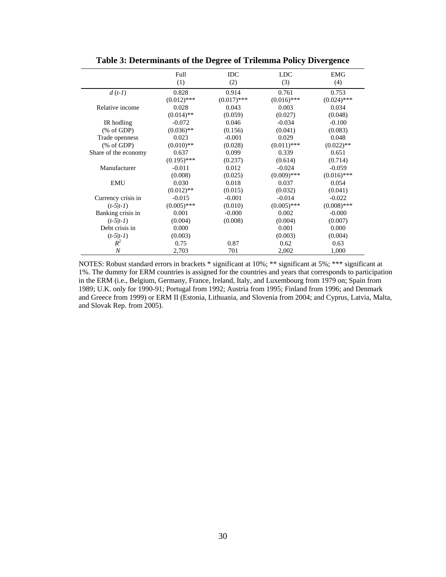|                       | Full          | <b>IDC</b>    | <b>LDC</b>    | <b>EMG</b>    |
|-----------------------|---------------|---------------|---------------|---------------|
|                       | (1)           | (2)           | (3)           | (4)           |
| $d(t-1)$              | 0.828         | 0.914         | 0.761         | 0.753         |
|                       | $(0.012)$ *** | $(0.017)$ *** | $(0.016)$ *** | $(0.024)$ *** |
| Relative income       | 0.028         | 0.043         | 0.003         | 0.034         |
|                       | $(0.014)$ **  | (0.059)       | (0.027)       | (0.048)       |
| IR hodling            | $-0.072$      | 0.046         | $-0.034$      | $-0.100$      |
| $(\% \text{ of GDP})$ | $(0.036)$ **  | (0.156)       | (0.041)       | (0.083)       |
| Trade openness        | 0.023         | $-0.001$      | 0.029         | 0.048         |
| % of GDP              | $(0.010)**$   | (0.028)       | $(0.011)$ *** | $(0.022)$ **  |
| Share of the economy  | 0.637         | 0.099         | 0.339         | 0.651         |
|                       | $(0.195)$ *** | (0.237)       | (0.614)       | (0.714)       |
| Manufacturer          | $-0.011$      | 0.012         | $-0.024$      | $-0.059$      |
|                       | (0.008)       | (0.025)       | $(0.009)$ *** | $(0.016)$ *** |
| <b>EMU</b>            | 0.030         | 0.018         | 0.037         | 0.054         |
|                       | $(0.012)$ **  | (0.015)       | (0.032)       | (0.041)       |
| Currency crisis in    | $-0.015$      | $-0.001$      | $-0.014$      | $-0.022$      |
| $(t-5 t-1)$           | $(0.005)$ *** | (0.010)       | $(0.005)$ *** | $(0.008)$ *** |
| Banking crisis in     | 0.001         | $-0.000$      | 0.002         | $-0.000$      |
| $(t-5 t-1)$           | (0.004)       | (0.008)       | (0.004)       | (0.007)       |
| Debt crisis in        | 0.000         |               | 0.001         | 0.000         |
| $(t-5 t-1)$           | (0.003)       |               | (0.003)       | (0.004)       |
| $R^2$                 | 0.75          | 0.87          | 0.62          | 0.63          |
| $\overline{N}$        | 2,703         | 701           | 2,002         | 1,000         |

**Table 3: Determinants of the Degree of Trilemma Policy Divergence** 

NOTES: Robust standard errors in brackets \* significant at 10%; \*\* significant at 5%; \*\*\* significant at 1%. The dummy for ERM countries is assigned for the countries and years that corresponds to participation in the ERM (i.e., Belgium, Germany, France, Ireland, Italy, and Luxembourg from 1979 on; Spain from 1989; U.K. only for 1990-91; Portugal from 1992; Austria from 1995; Finland from 1996; and Denmark and Greece from 1999) or ERM II (Estonia, Lithuania, and Slovenia from 2004; and Cyprus, Latvia, Malta, and Slovak Rep. from 2005).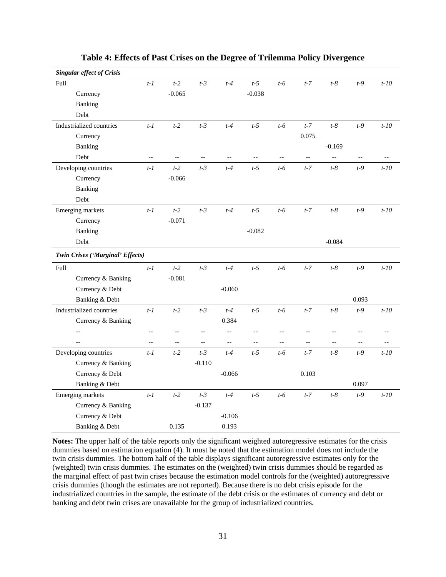| <b>Singular effect of Crisis</b> |                          |                          |                          |                          |                          |                |                          |                          |                          |         |
|----------------------------------|--------------------------|--------------------------|--------------------------|--------------------------|--------------------------|----------------|--------------------------|--------------------------|--------------------------|---------|
| Full                             | $t-1$                    | $t-2$                    | $t-3$                    | $t-4$                    | $t-5$                    | $t-6$          | $t-7$                    | $t-8$                    | $t-9$                    | $t-10$  |
| Currency                         |                          | $-0.065$                 |                          |                          | $-0.038$                 |                |                          |                          |                          |         |
| Banking                          |                          |                          |                          |                          |                          |                |                          |                          |                          |         |
| Debt                             |                          |                          |                          |                          |                          |                |                          |                          |                          |         |
| Industrialized countries         | $t-1$                    | $t-2$                    | $t-3$                    | $t-4$                    | $t-5$                    | $t-6$          | $t-7$                    | $t-8$                    | $t-9$                    | $t-10$  |
| Currency                         |                          |                          |                          |                          |                          |                | 0.075                    |                          |                          |         |
| Banking                          |                          |                          |                          |                          |                          |                |                          | $-0.169$                 |                          |         |
| Debt                             | $-$                      | $-$                      | $\overline{a}$           |                          |                          | $\overline{a}$ | $-$                      | $\overline{\phantom{a}}$ |                          | $-$     |
| Developing countries             | $t-1$                    | $t-2$                    | $t-3$                    | $t-4$                    | $t-5$                    | $t-6$          | $t-7$                    | $t-8$                    | $t-9$                    | $t-10$  |
| Currency                         |                          | $-0.066$                 |                          |                          |                          |                |                          |                          |                          |         |
| Banking                          |                          |                          |                          |                          |                          |                |                          |                          |                          |         |
| Debt                             |                          |                          |                          |                          |                          |                |                          |                          |                          |         |
| Emerging markets                 | $t-1$                    | $t-2$                    | $t-3$                    | $t-4$                    | $t-5$                    | $t-6$          | $t-7$                    | $t-8$                    | $t-9$                    | $t-10$  |
| Currency                         |                          | $-0.071$                 |                          |                          |                          |                |                          |                          |                          |         |
| Banking                          |                          |                          |                          |                          | $-0.082$                 |                |                          |                          |                          |         |
| Debt                             |                          |                          |                          |                          |                          |                |                          | $-0.084$                 |                          |         |
| Twin Crises ('Marginal' Effects) |                          |                          |                          |                          |                          |                |                          |                          |                          |         |
| Full                             | $t-1$                    | $t-2$                    | $t-3$                    | $t-4$                    | $t-5$                    | $t-6$          | $t-7$                    | $t-8$                    | $t-9$                    | $t-10$  |
| Currency & Banking               |                          | $-0.081$                 |                          |                          |                          |                |                          |                          |                          |         |
| Currency & Debt                  |                          |                          |                          | $-0.060$                 |                          |                |                          |                          |                          |         |
| Banking & Debt                   |                          |                          |                          |                          |                          |                |                          |                          | 0.093                    |         |
| Industrialized countries         | $t-1$                    | $t-2$                    | $t-3$                    | $t-4$                    | $t-5$                    | $t-6$          | $t-7$                    | $t-8$                    | $t-9$                    | $t-10$  |
| Currency & Banking               |                          |                          |                          | 0.384                    |                          |                |                          |                          |                          |         |
| $\overline{a}$                   | $\overline{\phantom{a}}$ | $\overline{\phantom{a}}$ | $\overline{\phantom{m}}$ | $\overline{\phantom{a}}$ | $\overline{\phantom{a}}$ | $-\,-$         | $-\,-$                   | $\overline{\phantom{a}}$ | $\overline{\phantom{a}}$ |         |
|                                  | $\overline{\phantom{a}}$ | $\overline{\phantom{a}}$ | --                       | --                       | $\overline{\phantom{a}}$ | --             | $\overline{\phantom{a}}$ | $\qquad \qquad -$        | --                       | $-\, -$ |
| Developing countries             | $t-1$                    | $t-2$                    | $t-3$                    | $t-4$                    | $t-5$                    | $t-6$          | $t-7$                    | $t-8$                    | $t-9$                    | $t-10$  |
| Currency & Banking               |                          |                          | $-0.110$                 |                          |                          |                |                          |                          |                          |         |
| Currency & Debt                  |                          |                          |                          | $-0.066$                 |                          |                | 0.103                    |                          |                          |         |
| Banking & Debt                   |                          |                          |                          |                          |                          |                |                          |                          | 0.097                    |         |
| Emerging markets                 | $t-1$                    | $t-2$                    | $t-3$                    | $t-4$                    | $t-5$                    | $t-6$          | $t-7$                    | $t-8$                    | $t-9$                    | $t-10$  |
| Currency & Banking               |                          |                          | $-0.137$                 |                          |                          |                |                          |                          |                          |         |
| Currency & Debt                  |                          |                          |                          | $-0.106$                 |                          |                |                          |                          |                          |         |
| Banking & Debt                   |                          | 0.135                    |                          | 0.193                    |                          |                |                          |                          |                          |         |

**Table 4: Effects of Past Crises on the Degree of Trilemma Policy Divergence** 

**Notes:** The upper half of the table reports only the significant weighted autoregressive estimates for the crisis dummies based on estimation equation (4). It must be noted that the estimation model does not include the twin crisis dummies. The bottom half of the table displays significant autoregressive estimates only for the (weighted) twin crisis dummies. The estimates on the (weighted) twin crisis dummies should be regarded as the marginal effect of past twin crises because the estimation model controls for the (weighted) autoregressive crisis dummies (though the estimates are not reported). Because there is no debt crisis episode for the industrialized countries in the sample, the estimate of the debt crisis or the estimates of currency and debt or banking and debt twin crises are unavailable for the group of industrialized countries.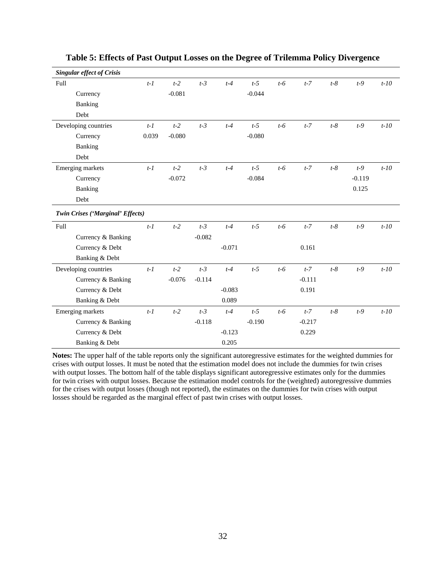| <b>Singular effect of Crisis</b> |       |          |          |          |          |       |          |       |          |        |
|----------------------------------|-------|----------|----------|----------|----------|-------|----------|-------|----------|--------|
| Full                             | $t-1$ | $t-2$    | $t-3$    | $t-4$    | $t-5$    | $t-6$ | $t-7$    | $t-8$ | $t-9$    | $t-10$ |
| Currency                         |       | $-0.081$ |          |          | $-0.044$ |       |          |       |          |        |
| <b>Banking</b>                   |       |          |          |          |          |       |          |       |          |        |
| Debt                             |       |          |          |          |          |       |          |       |          |        |
| Developing countries             | $t-1$ | $t-2$    | $t-3$    | $t-4$    | $t-5$    | $t-6$ | $t-7$    | $t-8$ | $t-9$    | $t-10$ |
| Currency                         | 0.039 | $-0.080$ |          |          | $-0.080$ |       |          |       |          |        |
| Banking                          |       |          |          |          |          |       |          |       |          |        |
| Debt                             |       |          |          |          |          |       |          |       |          |        |
| Emerging markets                 | $t-1$ | $t-2$    | $t-3$    | $t-4$    | $t-5$    | $t-6$ | $t-7$    | $t-8$ | $t-9$    | $t-10$ |
| Currency                         |       | $-0.072$ |          |          | $-0.084$ |       |          |       | $-0.119$ |        |
| Banking                          |       |          |          |          |          |       |          |       | 0.125    |        |
| Debt                             |       |          |          |          |          |       |          |       |          |        |
| Twin Crises ('Marginal' Effects) |       |          |          |          |          |       |          |       |          |        |
| Full                             | $t-1$ | $t-2$    | $t-3$    | $t-4$    | $t-5$    | $t-6$ | $t-7$    | $t-8$ | $t-9$    | $t-10$ |
| Currency & Banking               |       |          | $-0.082$ |          |          |       |          |       |          |        |
| Currency & Debt                  |       |          |          | $-0.071$ |          |       | 0.161    |       |          |        |
| Banking & Debt                   |       |          |          |          |          |       |          |       |          |        |
| Developing countries             | $t-1$ | $t-2$    | $t-3$    | $t-4$    | $t-5$    | $t-6$ | $t-7$    | $t-8$ | $t-9$    | $t-10$ |
| Currency & Banking               |       | $-0.076$ | $-0.114$ |          |          |       | $-0.111$ |       |          |        |
| Currency & Debt                  |       |          |          | $-0.083$ |          |       | 0.191    |       |          |        |
| Banking & Debt                   |       |          |          | 0.089    |          |       |          |       |          |        |
| Emerging markets                 | $t-1$ | $t-2$    | $t-3$    | $t-4$    | $t-5$    | $t-6$ | $t-7$    | $t-8$ | $t-9$    | $t-10$ |
| Currency & Banking               |       |          | $-0.118$ |          | $-0.190$ |       | $-0.217$ |       |          |        |
| Currency & Debt                  |       |          |          | $-0.123$ |          |       | 0.229    |       |          |        |
| Banking & Debt                   |       |          |          | 0.205    |          |       |          |       |          |        |

#### **Table 5: Effects of Past Output Losses on the Degree of Trilemma Policy Divergence**

**Notes:** The upper half of the table reports only the significant autoregressive estimates for the weighted dummies for crises with output losses. It must be noted that the estimation model does not include the dummies for twin crises with output losses. The bottom half of the table displays significant autoregressive estimates only for the dummies for twin crises with output losses. Because the estimation model controls for the (weighted) autoregressive dummies for the crises with output losses (though not reported), the estimates on the dummies for twin crises with output losses should be regarded as the marginal effect of past twin crises with output losses.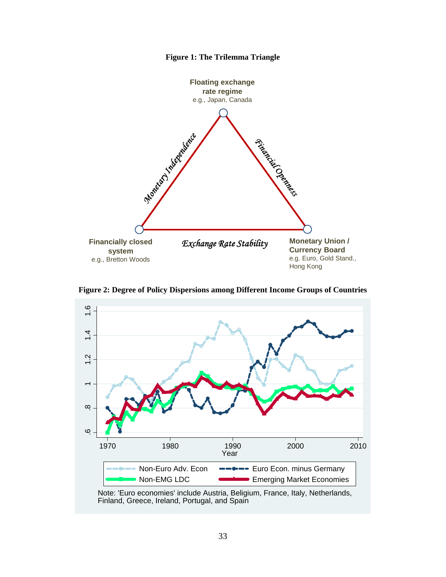



**Figure 2: Degree of Policy Dispersions among Different Income Groups of Countries** 



Note: 'Euro economies' include Austria, Beligium, France, Italy, Netherlands, Finland, Greece, Ireland, Portugal, and Spain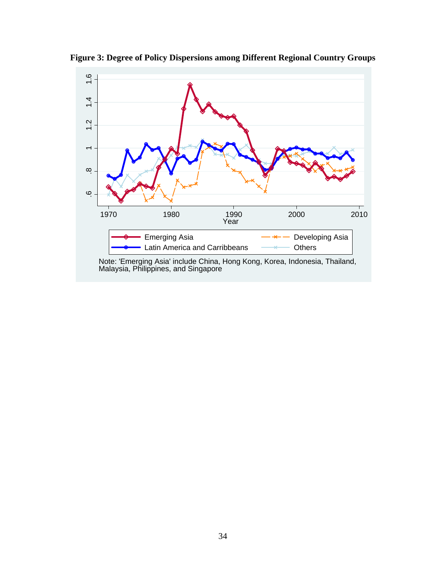

**Figure 3: Degree of Policy Dispersions among Different Regional Country Groups**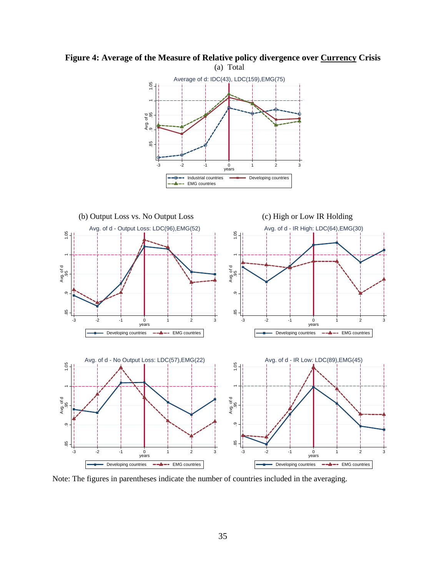

# **Figure 4: Average of the Measure of Relative policy divergence over Currency Crisis**

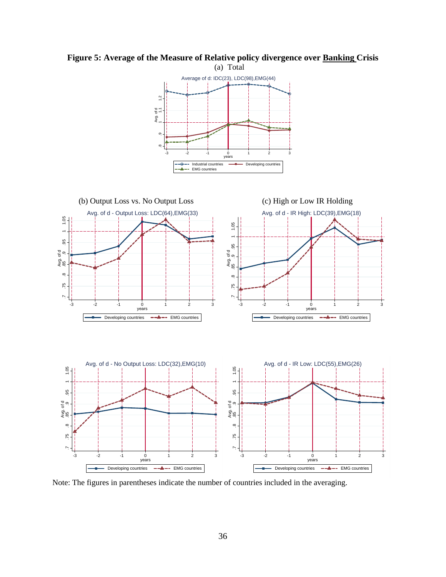

**Figure 5: Average of the Measure of Relative policy divergence over Banking Crisis**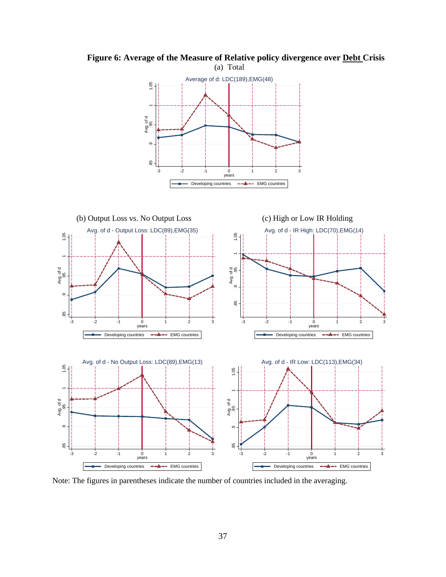

**Figure 6: Average of the Measure of Relative policy divergence over Debt Crisis**  (a) Total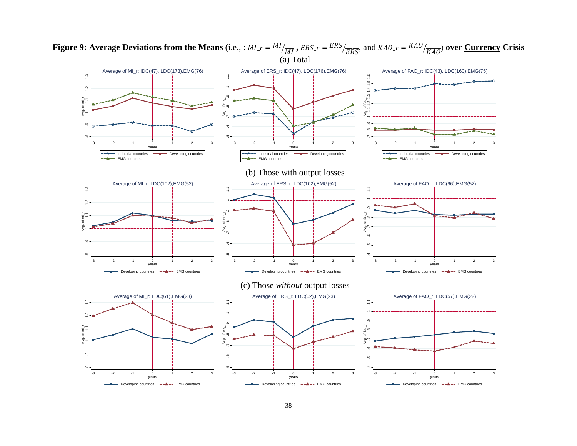

**Figure 9: Average Deviations from the Means** (i.e., :  $MI_r = \frac{MI}{MI}$ ,  $ERS_r = \frac{ERS}{ERS}$ , and  $KAO_r = \frac{KAO}{KAO}$  over <u>Currency</u> Crisis (a) Total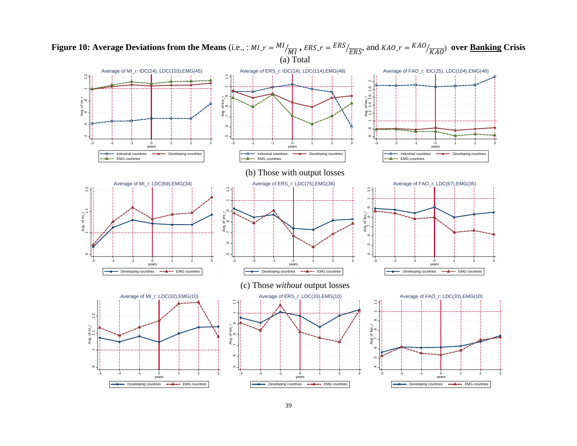

**Figure 10: Average Deviations from the Means** (i.e., :  $MI_r = \frac{MI}{\overline{MI}}$ ,  $ERS_r = \frac{ERS}{ERS_f}$ , and  $KAO_r = \frac{KAO}{\overline{KAO}}$ ) over <u>Banking</u> Crisis (a) Total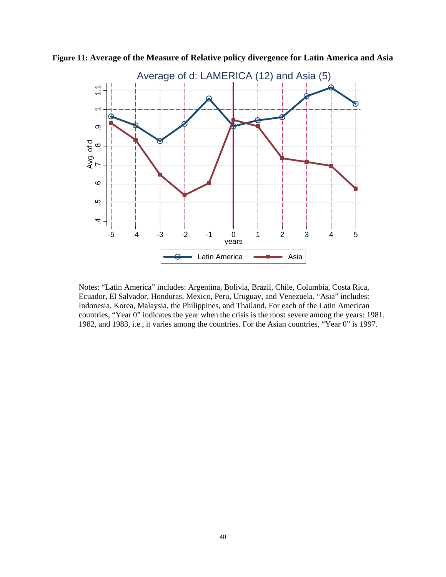

**Figure 11: Average of the Measure of Relative policy divergence for Latin America and Asia** 

Notes: "Latin America" includes: Argentina, Bolivia, Brazil, Chile, Columbia, Costa Rica, Ecuador, El Salvador, Honduras, Mexico, Peru, Uruguay, and Venezuela. "Asia" includes: Indonesia, Korea, Malaysia, the Philippines, and Thailand. For each of the Latin American countries, "Year 0" indicates the year when the crisis is the most severe among the years: 1981.